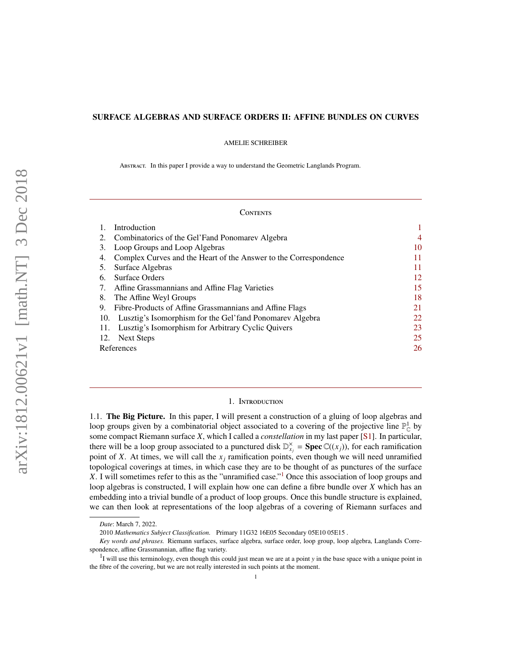## SURFACE ALGEBRAS AND SURFACE ORDERS II: AFFINE BUNDLES ON CURVES

AMELIE SCHREIBER

Abstract. In this paper I provide a way to understand the Geometric Langlands Program.

### **CONTENTS**

| 4  |
|----|
| 10 |
| 11 |
| 11 |
| 12 |
| 15 |
| 18 |
| 21 |
| 22 |
| 23 |
| 25 |
| 26 |
|    |

### 1. Introduction

<span id="page-0-0"></span>1.1. The Big Picture. In this paper, I will present a construction of a gluing of loop algebras and loop groups given by a combinatorial object associated to a covering of the projective line  $\mathbb{P}^1_{\mathbb{C}}$  by some compact Riemann surface *X*, which I called a *constellation* in my last paper [\[S1\]](#page-25-1). In particular, there will be a loop group associated to a punctured disk  $\mathbb{D}_{x_j}^{\times}$  = **Spec**  $\mathbb{C}((x_j))$ , for each ramification point of *X*. At times, we will call the  $x_j$  ramification points, even though we will need unramified topological coverings at times, in which case they are to be thought of as punctures of the surface *X*. I will sometimes refer to this as the "unramified case."<sup>[1](#page-0-1)</sup> Once this association of loop groups and loop algebras is constructed, I will explain how one can define a fibre bundle over *X* which has an embedding into a trivial bundle of a product of loop groups. Once this bundle structure is explained, we can then look at representations of the loop algebras of a covering of Riemann surfaces and

*Date*: March 7, 2022.

<sup>2010</sup> *Mathematics Subject Classification.* Primary 11G32 16E05 Secondary 05E10 05E15 .

*Key words and phrases.* Riemann surfaces, surface algebra, surface order, loop group, loop algebra, Langlands Correspondence, affine Grassmannian, affine flag variety.

<span id="page-0-1"></span><sup>&</sup>lt;sup>1</sup>I will use this terminology, even though this could just mean we are at a point *y* in the base space with a unique point in the fibre of the covering, but we are not really interested in such points at the moment.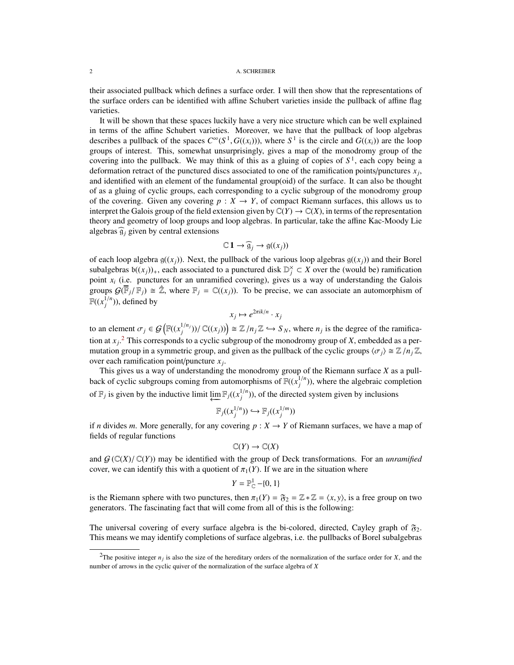their associated pullback which defines a surface order. I will then show that the representations of the surface orders can be identified with affine Schubert varieties inside the pullback of affine flag varieties.

It will be shown that these spaces luckily have a very nice structure which can be well explained in terms of the affine Schubert varieties. Moreover, we have that the pullback of loop algebras describes a pullback of the spaces  $C^{\infty}(S^1, G((x_i)))$ , where  $S^1$  is the circle and  $G((x_i))$  are the loop groups of interest. This, somewhat unsurprisingly, gives a map of the monodromy group of the covering into the pullback. We may think of this as a gluing of copies of  $S<sup>1</sup>$ , each copy being a deformation retract of the punctured discs associated to one of the ramification points/punctures *x<sup>j</sup>* , and identified with an element of the fundamental group(oid) of the surface. It can also be thought of as a gluing of cyclic groups, each corresponding to a cyclic subgroup of the monodromy group of the covering. Given any covering  $p : X \to Y$ , of compact Riemann surfaces, this allows us to interpret the Galois group of the field extension given by  $\mathbb{C}(Y) \to \mathbb{C}(X)$ , in terms of the representation theory and geometry of loop groups and loop algebras. In particular, take the affine Kac-Moody Lie algebras  $\widehat{g}_i$  given by central extensions

$$
\mathbb{C}\,1\to \widehat{\mathfrak{g}}_j\to \mathfrak{g}((x_j))
$$

of each loop algebra  $g((x_j))$ . Next, the pullback of the various loop algebras  $g((x_j))$  and their Borel subalgebras  $b((x_j))_+$ , each associated to a punctured disk  $\mathbb{D}_j^{\times} \subset X$  over the (would be) ramification point *x<sup>i</sup>* (i.e. punctures for an unramified covering), gives us a way of understanding the Galois groups  $\mathcal{G}(\overline{\mathbb{F}}_j/\mathbb{F}_j) \cong \hat{\mathbb{Z}}$ , where  $\mathbb{F}_j = \mathbb{C}((x_j))$ . To be precise, we can associate an automorphism of  $\mathbb{F}((x_j^{1/n})),$  defined by

$$
x_j \mapsto e^{2\pi i k/n} \cdot x_j
$$

to an element  $\sigma_j \in \mathcal{G}(\mathbb{F}((x_j^{1/n_j}))/\mathbb{C}((x_j))) \cong \mathbb{Z}/n_j\mathbb{Z} \hookrightarrow S_N$ , where  $n_j$  is the degree of the ramification at *x<sup>j</sup>* . [2](#page-1-0) This corresponds to a cyclic subgroup of the monodromy group of *X*, embedded as a permutation group in a symmetric group, and given as the pullback of the cyclic groups  $\langle \sigma_j \rangle \cong \mathbb{Z}/n_j \mathbb{Z}$ , over each ramification point/puncture *x<sup>j</sup>* .

This gives us a way of understanding the monodromy group of the Riemann surface *X* as a pullback of cyclic subgroups coming from automorphisms of  $\mathbb{F}((x_j^{1/n}))$ , where the algebraic completion of  $\mathbb{F}_j$  is given by the inductive limit  $\varprojlim \mathbb{F}_j((x_j^{1/n}))$ , of the directed system given by inclusions

$$
\mathbb{F}_j((x_j^{1/n})) \hookrightarrow \mathbb{F}_j((x_j^{1/m}))
$$

if *n* divides *m*. More generally, for any covering  $p : X \to Y$  of Riemann surfaces, we have a map of fields of regular functions

$$
\mathbb{C}(Y)\to \mathbb{C}(X)
$$

and  $G(\mathbb{C}(X)/\mathbb{C}(Y))$  may be identified with the group of Deck transformations. For an *unramified* cover, we can identify this with a quotient of  $\pi_1(Y)$ . If we are in the situation where

$$
Y=\mathbb{P}_{\mathbb{C}}^1-\{0,1\}
$$

is the Riemann sphere with two punctures, then  $\pi_1(Y) = \mathfrak{F}_2 = \mathbb{Z} * \mathbb{Z} = \langle x, y \rangle$ , is a free group on two generators. The fascinating fact that will come from all of this is the following:

The universal covering of every surface algebra is the bi-colored, directed, Cayley graph of  $\mathfrak{F}_2$ . This means we may identify completions of surface algebras, i.e. the pullbacks of Borel subalgebras

<span id="page-1-0"></span><sup>&</sup>lt;sup>2</sup>The positive integer  $n_j$  is also the size of the hereditary orders of the normalization of the surface order for *X*, and the number of arrows in the cyclic quiver of the normalization of the surface algebra of *X*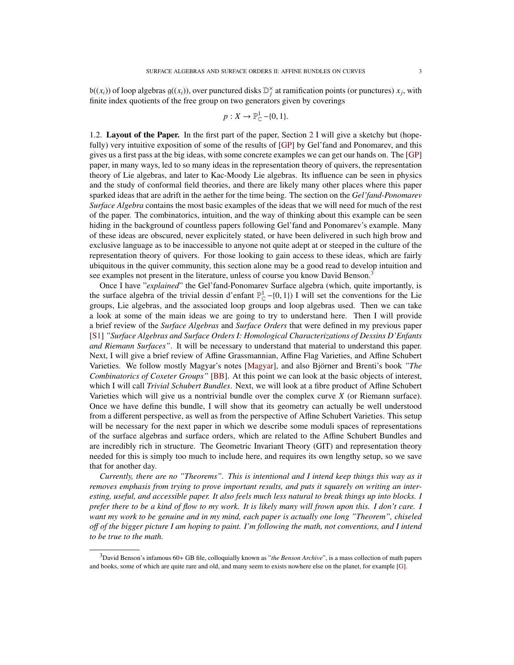$b((x_i))$  of loop algebras  $g((x_i))$ , over punctured disks  $\mathbb{D}_j^{\times}$  at ramification points (or punctures)  $x_j$ , with finite index quotients of the free group on two generators given by coverings

$$
p: X \to \mathbb{P}_{\mathbb{C}}^1 - \{0, 1\}.
$$

1.2. Layout of the Paper. In the first part of the paper, Section [2](#page-3-0) I will give a sketchy but (hopefully) very intuitive exposition of some of the results of [\[GP\]](#page-25-2) by Gel'fand and Ponomarev, and this gives us a first pass at the big ideas, with some concrete examples we can get our hands on. The [\[GP\]](#page-25-2) paper, in many ways, led to so many ideas in the representation theory of quivers, the representation theory of Lie algebras, and later to Kac-Moody Lie algebras. Its influence can be seen in physics and the study of conformal field theories, and there are likely many other places where this paper sparked ideas that are adrift in the aether for the time being. The section on the *Gel'fand-Ponomarev Surface Algebra* contains the most basic examples of the ideas that we will need for much of the rest of the paper. The combinatorics, intuition, and the way of thinking about this example can be seen hiding in the background of countless papers following Gel'fand and Ponomarev's example. Many of these ideas are obscured, never explicitely stated, or have been delivered in such high brow and exclusive language as to be inaccessible to anyone not quite adept at or steeped in the culture of the representation theory of quivers. For those looking to gain access to these ideas, which are fairly ubiquitous in the quiver community, this section alone may be a good read to develop intuition and see examples not present in the literature, unless of course you know David Benson.<sup>[3](#page-2-0)</sup>

Once I have "*explained*" the Gel'fand-Ponomarev Surface algebra (which, quite importantly, is the surface algebra of the trivial dessin d'enfant  $\mathbb{P}^1_{\mathbb{C}}$  –{0, 1}) I will set the conventions for the Lie groups. I je algebras, and the associated loop groups and loop algebras used. Then we can take groups, Lie algebras, and the associated loop groups and loop algebras used. Then we can take a look at some of the main ideas we are going to try to understand here. Then I will provide a brief review of the *Surface Algebras* and *Surface Orders* that were defined in my previous paper [\[S1\]](#page-25-1) *"Surface Algebras and Surface Orders I: Homological Characterizations of Dessins D'Enfants and Riemann Surfaces"*. It will be necessary to understand that material to understand this paper. Next, I will give a brief review of Affine Grassmannian, Affine Flag Varieties, and Affine Schubert Varieties. We follow mostly Magyar's notes [\[Magyar\]](#page-25-3), and also Bjorner and Brenti's book ¨ *"The Combinatorics of Coxeter Groups"* [\[BB\]](#page-25-4). At this point we can look at the basic objects of interest, which I will call *Trivial Schubert Bundles*. Next, we will look at a fibre product of Affine Schubert Varieties which will give us a nontrivial bundle over the complex curve *X* (or Riemann surface). Once we have define this bundle, I will show that its geometry can actually be well understood from a different perspective, as well as from the perspective of Affine Schubert Varieties. This setup will be necessary for the next paper in which we describe some moduli spaces of representations of the surface algebras and surface orders, which are related to the Affine Schubert Bundles and are incredibly rich in structure. The Geometric Invariant Theory (GIT) and representation theory needed for this is simply too much to include here, and requires its own lengthy setup, so we save that for another day.

*Currently, there are no "Theorems". This is intentional and I intend keep things this way as it removes emphasis from trying to prove important results, and puts it squarely on writing an interesting, useful, and accessible paper. It also feels much less natural to break things up into blocks. I prefer there to be a kind of flow to my work. It is likely many will frown upon this. I don't care. I want my work to be genuine and in my mind, each paper is actually one long "Theorem", chiseled o*ff *of the bigger picture I am hoping to paint. I'm following the math, not conventions, and I intend to be true to the math.*

<span id="page-2-0"></span><sup>3</sup>David Benson's infamous 60+ GB file, colloquially known as "*the Benson Archive*", is a mass collection of math papers and books, some of which are quite rare and old, and many seem to exists nowhere else on the planet, for example [\[G\]](#page-25-5).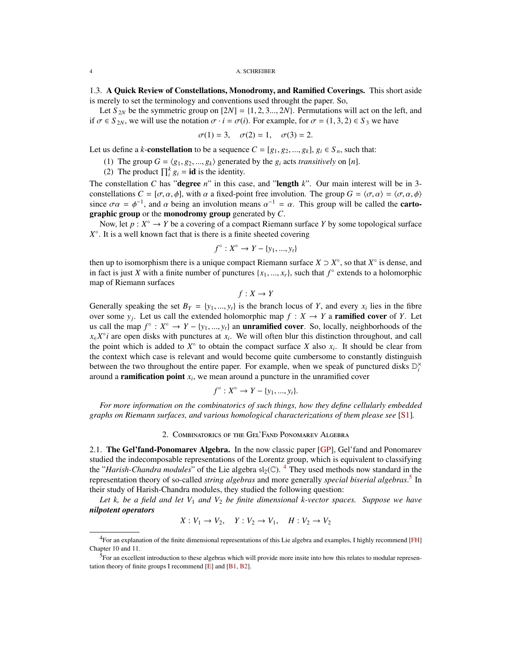#### 4 A. SCHREIBER

1.3. A Quick Review of Constellations, Monodromy, and Ramified Coverings. This short aside is merely to set the terminology and conventions used throught the paper. So,

Let  $S_{2N}$  be the symmetric group on  $[2N] = \{1, 2, 3, \ldots, 2N\}$ . Permutations will act on the left, and if  $\sigma \in S_{2N}$ , we will use the notation  $\sigma \cdot i = \sigma(i)$ . For example, for  $\sigma = (1, 3, 2) \in S_3$  we have

$$
\sigma(1) = 3
$$
,  $\sigma(2) = 1$ ,  $\sigma(3) = 2$ .

Let us define a *k*-**constellation** to be a sequence  $C = [g_1, g_2, ..., g_k]$ ,  $g_i \in S_n$ , such that:

(1) The group  $G = \langle g_1, g_2, ..., g_k \rangle$  generated by the  $g_i$  acts *transitively* on [*n*].

(2) The product  $\prod_{i=1}^{k} g_i = \text{id}$  is the identity.

The constellation *C* has "degree *n*" in this case, and "length *k*". Our main interest will be in 3 constellations  $C = [\sigma, \alpha, \phi]$ , with  $\alpha$  a fixed-point free involution. The group  $G = \langle \sigma, \alpha \rangle = \langle \sigma, \alpha, \phi \rangle$ since  $\sigma \alpha = \phi^{-1}$ , and  $\alpha$  being an involution means  $\alpha^{-1} = \alpha$ . This group will be called the **carto-**<br>graphic group or the **monodromy** group generated by C graphic group or the monodromy group generated by *C*.

Now, let  $p: X^{\circ} \to Y$  be a covering of a compact Riemann surface Y by some topological surface *X* ◦ . It is a well known fact that is there is a finite sheeted covering

$$
f^{\circ}: X^{\circ} \to Y - \{y_1, ..., y_t\}
$$

then up to isomorphism there is a unique compact Riemann surface  $X \supset X^{\circ}$ , so that  $X^{\circ}$  is dense, and in fact is just *X* with a finite number of punctures  $\{x_1, ..., x_r\}$ , such that  $f^{\circ}$  extends to a holomorphic man of Riemann surfaces map of Riemann surfaces

 $f: X \rightarrow Y$ 

Generally speaking the set  $B_Y = \{y_1, ..., y_t\}$  is the branch locus of *Y*, and every  $x_i$  lies in the fibre over some *y*<sub>1</sub>. Let us call the extended bolomorphic man  $f : X \to Y$  a **ramified cover** of *Y*<sub>1</sub> Let over some  $y_j$ . Let us call the extended holomorphic map  $f : X \to Y$  a **ramified cover** of *Y*. Let us call the map  $f^{\circ}: X^{\circ} \to Y - \{y_1, ..., y_t\}$  an **unramified cover**. So, locally, neighborhoods of the  $Y^{\circ}$  are onen disks with punctures at  $x$ . We will often blur this distinction throughout, and call  $x \in X^\circ i$  are open disks with punctures at  $x_i$ . We will often blur this distinction throughout, and call the point which is added to  $X^{\circ}$  to obtain the compact surface *X* also  $x_i$ . It should be clear from the context which case is relevant and would become quite cumbersome to constantly distinguish between the two throughout the entire paper. For example, when we speak of punctured disks  $\mathbb{D}_i^{\times}$ around a ramification point *x<sup>i</sup>* , we mean around a puncture in the unramified cover

$$
f^{\circ}: X^{\circ} \to Y - \{y_1, ..., y_t\}.
$$

*For more information on the combinatorics of such things, how they define cellularly embedded graphs on Riemann surfaces, and various homological characterizations of them please see* [\[S1\]](#page-25-1)*.*

## 2. Combinatorics of the Gel'Fand Ponomarev Algebra

<span id="page-3-0"></span>2.1. The Gel'fand-Ponomarev Algebra. In the now classic paper [\[GP\]](#page-25-2), Gel'fand and Ponomarev studied the indecomposable representations of the Lorentz group, which is equivalent to classifying the "*Harish-Chandra modules*" of the Lie algebra  $\mathfrak{sl}_2(\mathbb{C})$ . <sup>[4](#page-3-1)</sup> They used methods now standard in the representation theory of so-called *string algebras* and more generally *special biserial algebras*. [5](#page-3-2) In their study of Harish-Chandra modules, they studied the following question:

*Let k, be a field and let V*<sup>1</sup> *and V*<sup>2</sup> *be finite dimensional k-vector spaces. Suppose we have nilpotent operators*

$$
X: V_1 \to V_2, \quad Y: V_2 \to V_1, \quad H: V_2 \to V_2
$$

<span id="page-3-1"></span><sup>4</sup>For an explanation of the finite dimensional representations of this Lie algebra and examples, I highly recommend [\[FH\]](#page-25-6) Chapter 10 and 11.

<span id="page-3-2"></span><sup>&</sup>lt;sup>5</sup>For an excellent introduction to these algebras which will provide more insite into how this relates to modular representation theory of finite groups I recommend [\[E\]](#page-25-7) and [\[B1,](#page-25-8) [B2\]](#page-25-9).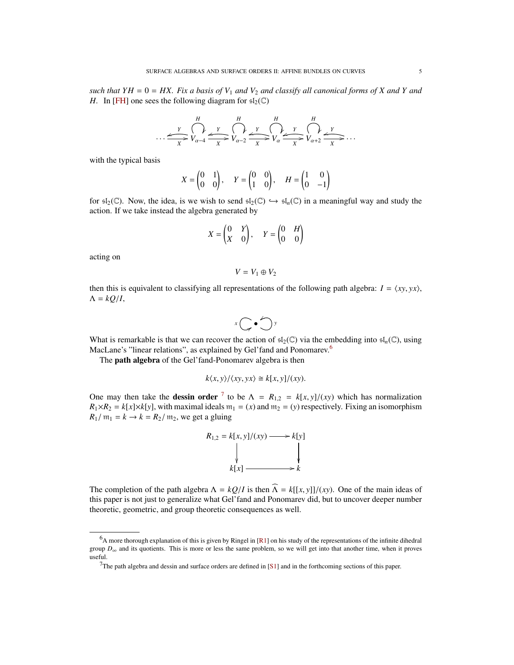*such that YH* =  $0 = HX$ . Fix a basis of  $V_1$  and  $V_2$  and classify all canonical forms of X and Y and *H.* In [\[FH\]](#page-25-6) one sees the following diagram for  $\mathfrak{sl}_2(\mathbb{C})$ 

$$
\dots \xrightarrow{\gamma} \bigcap_{X}^{H} \xrightarrow{\gamma} V_{\alpha-4} \xrightarrow{\gamma} V_{\alpha-2} \xrightarrow{\gamma} V_{\alpha} \xrightarrow{\gamma} V_{\alpha} \xrightarrow{\gamma} V_{\alpha+2} \xrightarrow{\gamma} V_{\alpha+2} \xrightarrow{\gamma} \dots
$$

with the typical basis

$$
X = \begin{pmatrix} 0 & 1 \\ 0 & 0 \end{pmatrix}, \quad Y = \begin{pmatrix} 0 & 0 \\ 1 & 0 \end{pmatrix}, \quad H = \begin{pmatrix} 1 & 0 \\ 0 & -1 \end{pmatrix}
$$

for  $\mathfrak{sl}_2(\mathbb{C})$ . Now, the idea, is we wish to send  $\mathfrak{sl}_2(\mathbb{C}) \hookrightarrow \mathfrak{sl}_n(\mathbb{C})$  in a meaningful way and study the action. If we take instead the algebra generated by

$$
X = \begin{pmatrix} 0 & Y \\ X & 0 \end{pmatrix}, \quad Y = \begin{pmatrix} 0 & H \\ 0 & 0 \end{pmatrix}
$$

acting on

$$
V=V_1\oplus V_2
$$

then this is equivalent to classifying all representations of the following path algebra:  $I = \langle xy, yx \rangle$ ,  $\Lambda = kQ/I$ ,

$$
x\bigcirc\bullet\bigcirc y
$$

What is remarkable is that we can recover the action of  $\mathfrak{sl}_2(\mathbb{C})$  via the embedding into  $\mathfrak{sl}_n(\mathbb{C})$ , using MacLane's "linear relations", as explained by Gel'fand and Ponomarev.<sup>[6](#page-4-0)</sup>

The **path algebra** of the Gel'fand-Ponomarev algebra is then

$$
k\langle x, y \rangle / \langle xy, yx \rangle \cong k[x, y]/(xy).
$$

One may then take the **dessin order** <sup>[7](#page-4-1)</sup> to be  $\Lambda = R_{1,2} = k[x, y]/(xy)$  which has normalization  $R_1 \times R_2 = k[x] \times k[y]$  with maximal ideals  $m_1 = (x)$  and  $m_2 = (y)$  respectively. Fixing an isomorphism  $R_1 \times R_2 = k[x] \times k[y]$ , with maximal ideals  $m_1 = (x)$  and  $m_2 = (y)$  respectively. Fixing an isomorphism  $R_1/m_1 = k \rightarrow k = R_2/m_2$ , we get a gluing



The completion of the path algebra  $\Lambda = kQ/I$  is then  $\widehat{\Lambda} = k[[x, y]]/(xy)$ . One of the main ideas of this paper is not just to generalize what Gel'fand and Ponomarev did, but to uncover deeper number theoretic, geometric, and group theoretic consequences as well.

<span id="page-4-0"></span> $6A$  more thorough explanation of this is given by Ringel in [\[R1\]](#page-25-10) on his study of the representations of the infinite dihedral group  $D_{\infty}$  and its quotients. This is more or less the same problem, so we will get into that another time, when it proves useful.

<span id="page-4-1"></span><sup>&</sup>lt;sup>7</sup>The path algebra and dessin and surface orders are defined in [\[S1\]](#page-25-1) and in the forthcoming sections of this paper.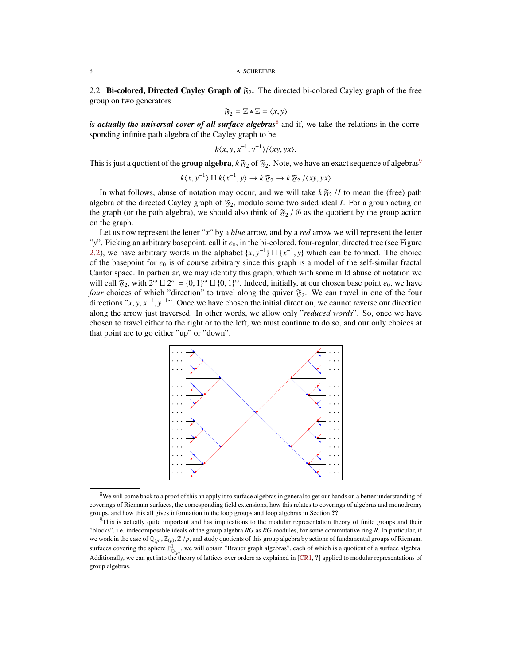### 6 A. SCHREIBER

<span id="page-5-2"></span>2.2. **Bi-colored, Directed Cayley Graph of**  $\mathfrak{F}_2$ . The directed bi-colored Cayley graph of the free group on two generators

$$
\mathfrak{F}_2 = \mathbb{Z} * \mathbb{Z} = \langle x, y \rangle
$$

 $\mathfrak{F}_2 = \mathbb{Z} * \mathbb{Z} = \langle x, y \rangle$ <br>*is actually the universal cover of all surface algebras*<sup>[8](#page-5-0)</sup> and if, we take the relations in the corresponding infinite path algebra of the Cayley graph to be

$$
k\langle x,y,x^{-1},y^{-1}\rangle/\langle xy,yx\rangle.
$$

This is just a quotient of the  ${\bf group\ algebra}$ ,  $k\,\mathfrak{F}_2$  of  $\mathfrak{F}_2.$  Note, we have an exact sequence of algebras $^9$  $^9$ 

$$
k\langle x, y^{-1}\rangle \amalg k\langle x^{-1}, y\rangle \to k\mathfrak{F}_2 \to k\mathfrak{F}_2 / \langle xy, yx\rangle
$$

In what follows, abuse of notation may occur, and we will take  $k \mathfrak{F}_2 / I$  to mean the (free) path algebra of the directed Cayley graph of  $\mathfrak{F}_2$ , modulo some two sided ideal *I*. For a group acting on the graph (or the path algebra), we should also think of  $\mathfrak{F}_2$  /  $\mathfrak{G}$  as the quotient by the group action on the graph.

Let us now represent the letter "*x*" by a *blue* arrow, and by a *red* arrow we will represent the letter "y". Picking an arbitrary basepoint, call it  $e_0$ , in the bi-colored, four-regular, directed tree (see Figure [2.2\)](#page-5-2), we have arbitrary words in the alphabet  $\{x, y^{-1}\}\amalg \{x^{-1}, y\}$  which can be formed. The choice of the basepoint for  $e_0$  is of course arbitrary since this graph is a model of the self-similar fractal of the basepoint for  $e_0$  is of course arbitrary since this graph is a model of the self-similar fractal Cantor space. In particular, we may identify this graph, which with some mild abuse of notation we will call  $\mathfrak{F}_2$ , with  $2^{\omega} \amalg 2^{\omega} = \{0, 1\}^{\omega} \amalg \{0, 1\}^{\omega}$ . Indeed, initially, at our chosen base point  $e_0$ , we have<br>four choices of which "direction" to travel along the quiver  $\mathfrak{F}_2$ . We can travel in *four* choices of which "direction" to travel along the quiver  $\mathfrak{F}_2$ . We can travel in one of the four directions "*x*, *y*,  $x^{-1}$ ,  $y^{-1}$ ". Once we have chosen the initial direction, we cannot reverse our direction along the arrow just traversed. In other words, we allow only "*reduced words*". So, once we have chosen to travel either to the right or to the left, we must continue to do so, and our only choices at that point are to go either "up" or "down".



<span id="page-5-0"></span><sup>&</sup>lt;sup>8</sup>We will come back to a proof of this an apply it to surface algebras in general to get our hands on a better understanding of coverings of Riemann surfaces, the corresponding field extensions, how this relates to coverings of algebras and monodromy groups, and how this all gives information in the loop groups and loop algebras in Section ??.

<span id="page-5-1"></span> $9$ This is actually quite important and has implications to the modular representation theory of finite groups and their "blocks", i.e. indecomposable ideals of the group algebra *RG* as *RG*-modules, for some commutative ring *R*. In particular, if we work in the case of  $\mathbb{Q}_{(p)}, \mathbb{Z}_{(p)}, \mathbb{Z}/p$ , and study quotients of this group algebra by actions of fundamental groups of Riemann<br>we fixed a security the subset  $\mathbb{R}$ surfaces covering the sphere  $\mathbb{P}^1_{\mathbb{Q}_{(p)}}$ , we will obtain "Brauer graph algebras", each of which is a quotient of a surface algebra. Additionally, we can get into the theory of lattices over orders as explained in [\[CR1,](#page-25-11) ?] applied to modular representations of group algebras.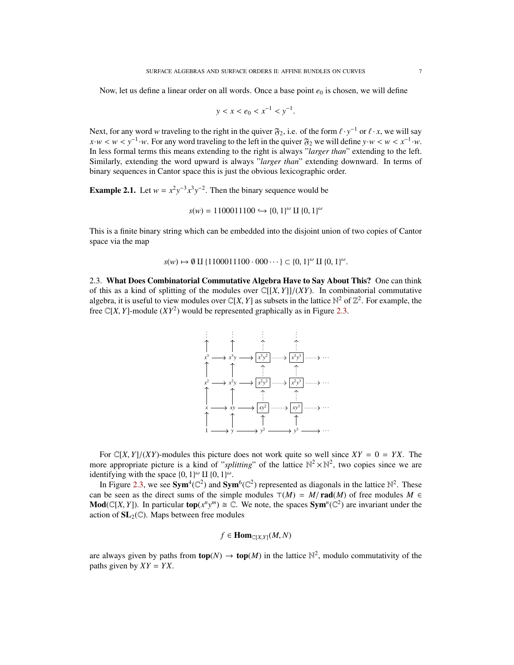Now, let us define a linear order on all words. Once a base point  $e_0$  is chosen, we will define

$$
y < x < e_0 < x^{-1} < y^{-1}.
$$

Next, for any word *w* traveling to the right in the quiver  $\mathfrak{F}_2$ , i.e. of the form  $\ell \cdot y^{-1}$  or  $\ell \cdot x$ , we will say  $\mathfrak{F}_2$  we will say  $\mathfrak{F}_3$  we will define  $\mathfrak{F}_3$  we will define  $\mathfrak{F}_3$  we will def *x*·*w* < *w* < *y*<sup>-1</sup>·*w*. For any word traveling to the left in the quiver  $\mathfrak{F}_2$  we will define *y*·*w* < *w* < *x*<sup>-1</sup>·*w*.<br>In less formal terms this means extending to the right is always "larger than" extending In less formal terms this means extending to the right is always "*larger than*" extending to the left. Similarly, extending the word upward is always "*larger than*" extending downward. In terms of binary sequences in Cantor space this is just the obvious lexicographic order.

**Example 2.1.** Let  $w = x^2y^{-3}x^3y^{-2}$ . Then the binary sequence would be

$$
s(w) = 1100011100 \hookrightarrow \{0, 1\}^{\omega} \amalg \{0, 1\}^{\omega}
$$

This is a finite binary string which can be embedded into the disjoint union of two copies of Cantor space via the map

$$
s(w) \to \emptyset \amalg \{1100011100 \cdot 000 \cdots\} \subset \{0, 1\}^{\omega} \amalg \{0, 1\}^{\omega}.
$$

<span id="page-6-0"></span>2.3. What Does Combinatorial Commutative Algebra Have to Say About This? One can think of this as a kind of splitting of the modules over  $\mathbb{C}[[X, Y]]/(XY)$ . In combinatorial commutative algebra, it is useful to view modules over  $\mathbb{C}[X, Y]$  as subsets in the lattice  $\mathbb{N}^2$  of  $\mathbb{Z}^2$ . For example, the free  $\mathbb{C}[X, Y]$  would be represented graphically as in Figure 2.3 free  $\mathbb{C}[X, Y]$ -module  $(XY^2)$  would be represented graphically as in Figure [2.3.](#page-6-0)



For  $\mathbb{C}[X, Y]/(XY)$ -modules this picture does not work quite so well since  $XY = 0 = YX$ . The more appropriate picture is a kind of "*splitting*" of the lattice  $\mathbb{N}^2 \times \mathbb{N}^2$ , two copies since we are identifying with the space  $\{0, 1\}^{\omega}$  II  $\{0, 1\}^{\omega}$ .<br>In Figure 2.3, we see Sym<sup>4</sup>( $\mathbb{C}^2$ ) and Sym

In Figure [2.3,](#page-6-0) we see Sym<sup>4</sup>( $\mathbb{C}^2$ ) and Sym<sup>6</sup>( $\mathbb{C}^2$ ) represented as diagonals in the lattice  $\mathbb{N}^2$ . These can be seen as the direct sums of the simple modules  $\mathcal{T}(M) = M/\text{rad}(M)$  of free modules  $M \in$ **Mod**( $\mathbb{C}[X, Y]$ ). In particular **top**( $x^n y^m$ )  $\cong \mathbb{C}$ . We note, the spaces **Sym**<sup>*n*</sup>( $\mathbb{C}^2$ ) are invariant under the action of **SI**  $\triangle$  ( $\mathbb{C}^n$ ). Mans between free modules action of  $SL_2(\mathbb{C})$ . Maps between free modules

$$
f \in \text{Hom}_{\mathbb{C}[X,Y]}(M,N)
$$

are always given by paths from  $\text{top}(N) \to \text{top}(M)$  in the lattice  $\mathbb{N}^2$ , modulo commutativity of the paths given by  $XY = YX$ .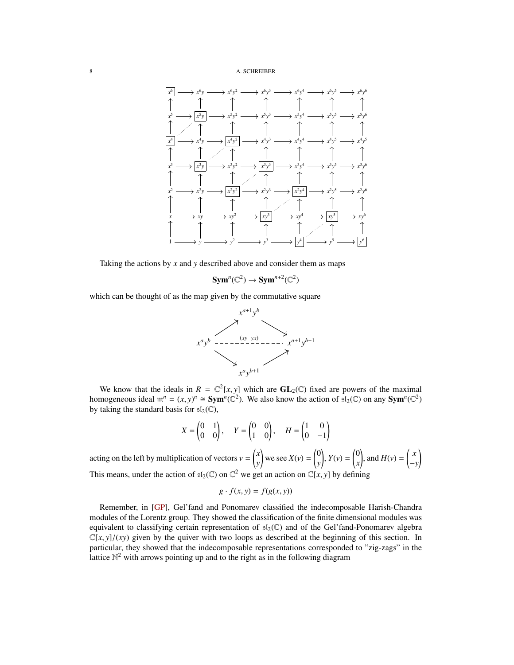### 8 A. SCHREIBER



Taking the actions by *x* and *y* described above and consider them as maps

$$
Sym^n(\mathbb{C}^2) \to Sym^{n+2}(\mathbb{C}^2)
$$

which can be thought of as the map given by the commutative square



We know that the ideals in  $R = \mathbb{C}^2[x, y]$  which are  $GL_2(\mathbb{C})$  fixed are powers of the maximal mogeneous ideal  $m^n = (x, y)^n \approx \text{Sym}^n(\mathbb{C}^2)$ . We also know the action of  $\epsilon \cdot \epsilon(\mathbb{C})$  on any  $\text{Sym}^n(\mathbb{C}^2)$ . homogeneous ideal  $m^n = (x, y)^n \cong Sym^n(\mathbb{C}^2)$ . We also know the action of  $\overline{sl}_2(\mathbb{C})$  on any  $Sym^n(\mathbb{C}^2)$ <br>by taking the standard basis for  $\overline{sl}_2(\mathbb{C})$ by taking the standard basis for  $\mathfrak{sl}_2(\mathbb{C})$ ,

$$
X = \begin{pmatrix} 0 & 1 \\ 0 & 0 \end{pmatrix}, \quad Y = \begin{pmatrix} 0 & 0 \\ 1 & 0 \end{pmatrix}, \quad H = \begin{pmatrix} 1 & 0 \\ 0 & -1 \end{pmatrix}
$$

acting on the left by multiplication of vectors  $v = \begin{pmatrix} x \\ y \end{pmatrix}$ *y* we see  $X(v) = \begin{pmatrix} 0 \\ v \end{pmatrix}$ *y*  $\int$ ,  $Y(v) = \begin{pmatrix} 0 \\ x \end{pmatrix}$ *x* ), and  $H(v) = \begin{pmatrix} x \\ y \end{pmatrix}$ −*y* ! This means, under the action of  $sI_2(\mathbb{C})$  on  $\mathbb{C}^2$  we get an action on  $\mathbb{C}[x, y]$  by defining

$$
g \cdot f(x, y) = f(g(x, y))
$$

Remember, in [\[GP\]](#page-25-2), Gel'fand and Ponomarev classified the indecomposable Harish-Chandra modules of the Lorentz group. They showed the classification of the finite dimensional modules was equivalent to classifying certain representation of  $sI_2(\mathbb{C})$  and of the Gel'fand-Ponomarev algebra  $\mathbb{C}[x, y]/(xy)$  given by the quiver with two loops as described at the beginning of this section. In particular, they showed that the indecomposable representations corresponded to "zig-zags" in the lattice  $\mathbb{N}^2$  with arrows pointing up and to the right as in the following diagram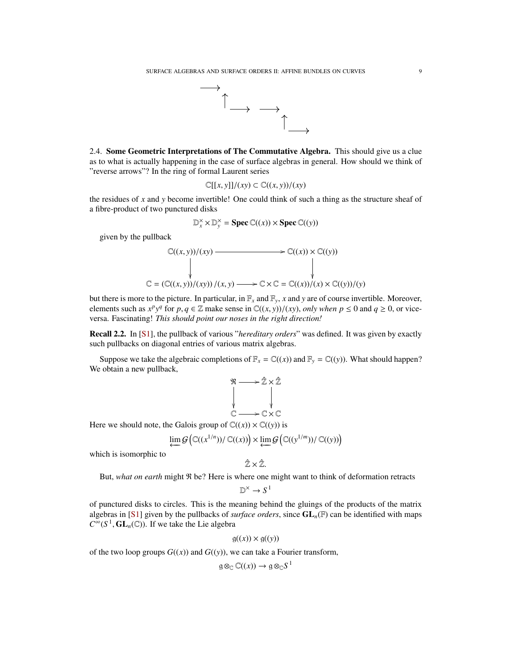

2.4. Some Geometric Interpretations of The Commutative Algebra. This should give us a clue as to what is actually happening in the case of surface algebras in general. How should we think of "reverse arrows"? In the ring of formal Laurent series

$$
\mathbb{C}[[x,y]]/(xy) \subset \mathbb{C}((x,y))/(xy)
$$

the residues of *x* and *y* become invertible! One could think of such a thing as the structure sheaf of a fibre-product of two punctured disks

$$
\mathbb{D}_x^{\times} \times \mathbb{D}_y^{\times} = \text{Spec } \mathbb{C}((x)) \times \text{Spec } \mathbb{C}((y))
$$

given by the pullback

$$
\mathbb{C}((x, y))/(xy) \longrightarrow \mathbb{C}((x)) \times \mathbb{C}((y))
$$
  
\n
$$
\downarrow \qquad \qquad \downarrow
$$
  
\n
$$
\mathbb{C} = (\mathbb{C}((x, y))/(xy)) / (x, y) \longrightarrow \mathbb{C} \times \mathbb{C} = \mathbb{C}((x))/(x) \times \mathbb{C}((y))/(y)
$$

but there is more to the picture. In particular, in  $\mathbb{F}_x$  and  $\mathbb{F}_y$ , *x* and *y* are of course invertible. Moreover, elements such as  $x^p y^q$  for  $p, q \in \mathbb{Z}$  make sense in  $\mathbb{C}((x, y))/(xy)$ , *only when*  $p \le 0$  and  $q \ge 0$ , or vice-<br>versa. Eascinating! This should point our poses in the right direction! versa. Fascinating! *This should point our noses in the right direction!*

Recall 2.2. In [\[S1\]](#page-25-1), the pullback of various "*hereditary orders*" was defined. It was given by exactly such pullbacks on diagonal entries of various matrix algebras.

Suppose we take the algebraic completions of  $\mathbb{F}_x = \mathbb{C}((x))$  and  $\mathbb{F}_y = \mathbb{C}((y))$ . What should happen? We obtain a new pullback,

R / Zˆ × Zˆ C /C×C

Here we should note, the Galois group of  $\mathbb{C}((x)) \times \mathbb{C}((y))$  is

$$
\varprojlim \mathcal{G}\left(\mathbb{C}((x^{1/n}))/\mathbb{C}((x))\right) \times \varprojlim \mathcal{G}\left(\mathbb{C}((y^{1/m}))/\mathbb{C}((y))\right)
$$

which is isomorphic to

$$
\hat{\mathbb{Z}}\times\hat{\mathbb{Z}}.
$$

 $\hat{Z} \times \hat{Z}$ .<br>But, *what on earth* might  $\Re$  be? Here is where one might want to think of deformation retracts

$$
\mathbb{D}^{\times} \to S^1
$$

of punctured disks to circles. This is the meaning behind the gluings of the products of the matrix algebras in [\[S1\]](#page-25-1) given by the pullbacks of *surface orders*, since  $GL_n(\mathbb{F})$  can be identified with maps  $C^{\infty}(S^1, GL_n(\mathbb{C}))$ . If we take the Lie algebra

$$
g((x)) \times g((y))
$$

of the two loop groups  $G((x))$  and  $G((y))$ , we can take a Fourier transform,

$$
\mathfrak{g} \otimes_{\mathbb{C}} \mathbb{C}((x)) \to \mathfrak{g} \otimes_{\mathbb{C}} S^1
$$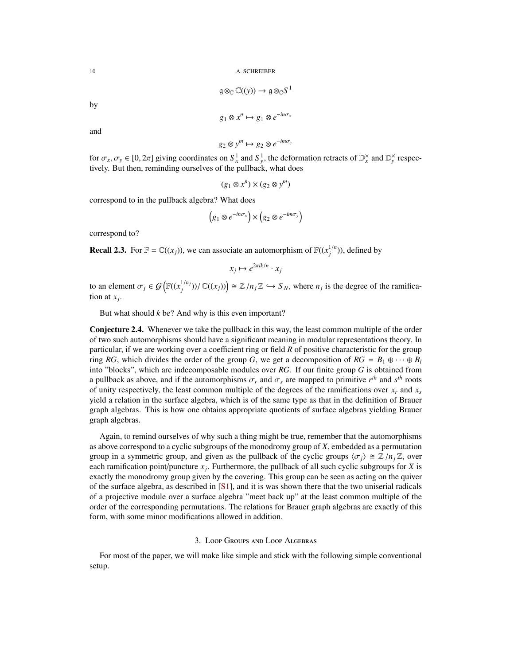$$
\mathfrak{g} \otimes_{\mathbb{C}} \mathbb{C}((y)) \to \mathfrak{g} \otimes_{\mathbb{C}} S^1
$$

by

$$
g_1 \otimes x^n \mapsto g_1 \otimes e^{-in\sigma_x}
$$

and

 $g_2 \otimes y^m \mapsto g_2 \otimes e^{-im\sigma_y}$ 

for  $\sigma_x, \sigma_y \in [0, 2\pi]$  giving coordinates on  $S_x^1$  and  $S_y^1$ , the deformation retracts of  $\mathbb{D}_x^{\times}$  and  $\mathbb{D}_y^{\times}$  respectively. But then reminding ourselves of the pullback, what does tively. But then, reminding ourselves of the pullback, what does

$$
(g_1 \otimes x^n) \times (g_2 \otimes y^m)
$$

correspond to in the pullback algebra? What does

$$
(g_1 \otimes e^{-in\sigma_x}) \times (g_2 \otimes e^{-im\sigma_y})
$$

correspond to?

**Recall 2.3.** For  $\mathbb{F} = \mathbb{C}((x_j))$ , we can associate an automorphism of  $\mathbb{F}((x_j^{1/n}))$ , defined by

$$
x_j \mapsto e^{2\pi i k/n} \cdot x_j
$$

to an element  $\sigma_j \in \mathcal{G}\left(\mathbb{F}((x_j^{1/n_j}))\middle/ \mathbb{C}((x_j))\right) \cong \mathbb{Z}/n_j\mathbb{Z} \hookrightarrow S_N$ , where  $n_j$  is the degree of the ramification at  $x_j$ . tion at *x<sup>j</sup>* .

But what should *k* be? And why is this even important?

Conjecture 2.4. Whenever we take the pullback in this way, the least common multiple of the order of two such automorphisms should have a significant meaning in modular representations theory. In particular, if we are working over a coefficient ring or field *R* of positive characteristic for the group ring *RG*, which divides the order of the group *G*, we get a decomposition of  $RG = B_1 \oplus \cdots \oplus B_l$ into "blocks", which are indecomposable modules over *RG*. If our finite group *G* is obtained from a pullback as above, and if the automorphisms  $\sigma_r$  and  $\sigma_s$  are mapped to primitive  $r^{\text{th}}$  and  $s^{\text{th}}$  roots of unity respectively the least common multiple of the degrees of the ramifications over x, and x of unity respectively, the least common multiple of the degrees of the ramifications over  $x_r$  and  $x_s$ yield a relation in the surface algebra, which is of the same type as that in the definition of Brauer graph algebras. This is how one obtains appropriate quotients of surface algebras yielding Brauer graph algebras.

Again, to remind ourselves of why such a thing might be true, remember that the automorphisms as above correspond to a cyclic subgroups of the monodromy group of *X*, embedded as a permutation group in a symmetric group, and given as the pullback of the cyclic groups  $\langle \sigma_j \rangle \cong \mathbb{Z}/n_j\mathbb{Z}$ , over each ramification point/puncture *x<sup>j</sup>* . Furthermore, the pullback of all such cyclic subgroups for *X* is exactly the monodromy group given by the covering. This group can be seen as acting on the quiver of the surface algebra, as described in [\[S1\]](#page-25-1), and it is was shown there that the two uniserial radicals of a projective module over a surface algebra "meet back up" at the least common multiple of the order of the corresponding permutations. The relations for Brauer graph algebras are exactly of this form, with some minor modifications allowed in addition.

## 3. Loop Groups and Loop Algebras

<span id="page-9-0"></span>For most of the paper, we will make like simple and stick with the following simple conventional setup.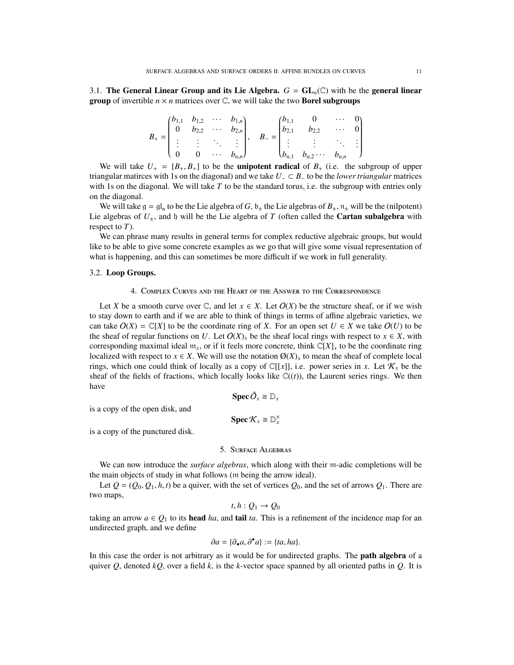3.1. The General Linear Group and its Lie Algebra.  $G = GL_n(\mathbb{C})$  with be the general linear **group** of invertible  $n \times n$  matrices over  $\mathbb{C}$ , we will take the two **Borel subgroups** 

|  |  |  | $B_+ = \begin{pmatrix} b_{1,1} & b_{1,2} & \cdots & b_{1,n} \\ 0 & b_{2,2} & \cdots & b_{2,n} \\ \vdots & \vdots & \ddots & \vdots \\ 0 & 0 & \cdots & b_{n,n} \end{pmatrix}, \quad B_- = \begin{pmatrix} b_{1,1} & 0 & \cdots & 0 \\ b_{2,1} & b_{2,2} & \cdots & 0 \\ \vdots & \vdots & \ddots & \vdots \\ b_{n,1} & b_{n,2} & \cdots & b_{n,n} \end{pmatrix}$ |  |  |
|--|--|--|------------------------------------------------------------------------------------------------------------------------------------------------------------------------------------------------------------------------------------------------------------------------------------------------------------------------------------------------------------------|--|--|
|  |  |  |                                                                                                                                                                                                                                                                                                                                                                  |  |  |

We will take  $U_{+} = [B_{+}, B_{+}]$  to be the **unipotent radical** of  $B_{+}$  (i.e. the subgroup of upper<br>ungular matices with 1s on the diagonal) and we take  $U_{-} \subset B_{-}$  to be the *lower triangular* matrices triangular matirces with 1s on the diagonal) and we take  $U_$  ⊂  $B_$  to be the *lower triangular* matrices with 1s on the diagonal. We will take *T* to be the standard torus, i.e. the subgroup with entries only on the diagonal.

We will take  $g = gI_n$  to be the Lie algebra of *G*,  $b_{\pm}$  the Lie algebras of  $B_{\pm}$ ,  $n_{\pm}$  will be the (nilpotent) Lie algebras of  $U_{\pm}$ , and b will be the Lie algebra of *T* (often called the **Cartan subalgebra** with respect to *T*).

We can phrase many results in general terms for complex reductive algebraic groups, but would like to be able to give some concrete examples as we go that will give some visual representation of what is happening, and this can sometimes be more difficult if we work in full generality.

### <span id="page-10-0"></span>3.2. Loop Groups.

## 4. Complex Curves and the Heart of the Answer to the Correspondence

Let *X* be a smooth curve over  $\mathbb{C}$ , and let  $x \in X$ . Let  $O(X)$  be the structure sheaf, or if we wish to stay down to earth and if we are able to think of things in terms of affine algebraic varieties, we can take  $O(X) = \mathbb{C}[X]$  to be the coordinate ring of *X*. For an open set  $U \in X$  we take  $O(U)$  to be the sheaf of regular functions on *U*. Let  $O(X)$ <sub>*x*</sub> be the sheaf local rings with respect to  $x \in X$ , with corresponding maximal ideal  $m_x$ , or if it feels more concrete, think  $\mathbb{C}[X]_x$  to be the coordinate ring localized with respect to  $x \in X$ . We will use the notation  $\mathcal{O}(X)_x$  to mean the sheaf of complete local rings, which one could think of locally as a copy of  $\mathbb{C}[[x]]$ , i.e. power series in *x*. Let  $\mathcal{K}_x$  be the sheaf of the fields of fractions, which locally looks like  $\mathbb{C}((t))$ , the Laurent series rings. We then have

$$
\operatorname{Spec} \hat{O}_x \cong \mathbb{D}_x
$$

is a copy of the open disk, and

 $\operatorname{Spec} \mathcal{K}_x \cong \mathbb{D}_x^{\times}$ 

<span id="page-10-1"></span>is a copy of the punctured disk.

## 5. Surface Algebras

We can now introduce the *surface algebras*, which along with their m-adic completions will be the main objects of study in what follows (m being the arrow ideal).

Let  $Q = (Q_0, Q_1, h, t)$  be a quiver, with the set of vertices  $Q_0$ , and the set of arrows  $Q_1$ . There are two maps,

$$
t,h:Q_1\to Q_0
$$

 $t, h : Q_1 \to Q_0$ <br>taking an arrow  $a \in Q_1$  to its **head** *ha*, and **tail** *ta*. This is a refinement of the incidence map for an undirected graph, and we define

$$
\partial a = \{\partial_{\bullet} a, \partial^{\bullet} a\} := \{ta, ha\}.
$$

In this case the order is not arbitrary as it would be for undirected graphs. The **path algebra** of a quiver *Q*, denoted *kQ*, over a field *k*, is the *k*-vector space spanned by all oriented paths in *Q*. It is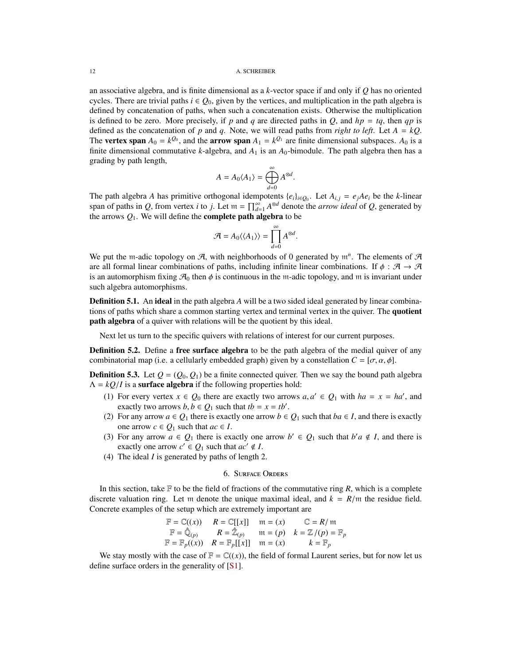#### 12 A. SCHREIBER

an associative algebra, and is finite dimensional as a *k*-vector space if and only if *Q* has no oriented cycles. There are trivial paths  $i \in Q_0$ , given by the vertices, and multiplication in the path algebra is defined by concatenation of paths, when such a concatenation exists. Otherwise the multiplication is defined to be zero. More precisely, if *p* and *q* are directed paths in *Q*, and  $hp = tq$ , then *qp* is defined as the concatenation of *p* and *q*. Note, we will read paths from *right to left*. Let  $A = kQ$ . The **vertex span**  $A_0 = k^{Q_0}$ , and the **arrow span**  $A_1 = k^{Q_1}$  are finite dimensional subspaces.  $A_0$  is a finite dimensional commutative *k*-algebra, and  $A_1$  is an  $A_0$ -bimodule. The path algebra then has a grading by path length,

$$
A=A_0\langle A_1\rangle=\bigoplus_{d=0}^\infty A^{\otimes d}.
$$

The path algebra *A* has primitive orthogonal idempotents  $\{e_i\}_{i \in Q_0}$ . Let  $A_{i,j} = e_jAe_i$  be the *k*-linear span of paths in *Q*, from vertex *i* to *j*. Let  $m = \prod_{d=1}^{\infty} A^{\otimes d}$  denote the *arrow ideal* of *Q*, generated by the arrows  $Q_1$ . We will define the **complete path algebra** to be

$$
\mathcal{A} = A_0 \langle \langle A_1 \rangle \rangle = \prod_{d=0}^{\infty} A^{\otimes d}.
$$

We put the m-adic topology on  $A$ , with neighborhoods of 0 generated by  $m^n$ . The elements of  $A$ are all formal linear combinations of paths, including infinite linear combinations. If  $\phi : \mathcal{A} \to \mathcal{A}$ is an automorphism fixing  $\mathcal{A}_0$  then  $\phi$  is continuous in the m-adic topology, and m is invariant under such algebra automorphisms.

**Definition 5.1.** An **ideal** in the path algebra A will be a two sided ideal generated by linear combinations of paths which share a common starting vertex and terminal vertex in the quiver. The **quotient** path algebra of a quiver with relations will be the quotient by this ideal.

Next let us turn to the specific quivers with relations of interest for our current purposes.

**Definition 5.2.** Define a **free surface algebra** to be the path algebra of the medial quiver of any combinatorial map (i.e. a cellularly embedded graph) given by a constellation  $C = [\sigma, \alpha, \phi]$ .

**Definition 5.3.** Let  $Q = (Q_0, Q_1)$  be a finite connected quiver. Then we say the bound path algebra  $\Lambda = kQ/I$  is a **surface algebra** if the following properties hold:

- (1) For every vertex  $x \in Q_0$  there are exactly two arrows  $a, a' \in Q_1$  with  $ha = x = ha'$ , and exactly two arrows  $h \in Q_1$  such that  $th = x = th'$ exactly two arrows  $b, b \in Q_1$  such that  $tb = x = tb'$ .<br>For any arrow  $a \in Q$ , there is exactly one arrow  $b \in Q_1$
- (2) For any arrow  $a \in Q_1$  there is exactly one arrow  $b \in Q_1$  such that  $ba \in I$ , and there is exactly one arrow  $c \in Q_1$  such that  $ac \in I$ .
- (3) For any arrow  $a \in Q_1$  there is exactly one arrow  $b' \in Q_1$  such that  $b'a \notin I$ , and there is exactly one arrow  $c' \in Q_1$  such that  $ac' \notin I$ .
- (4) The ideal *I* is generated by paths of length 2.

### 6. Surface Orders

<span id="page-11-0"></span>In this section, take  $F$  to be the field of fractions of the commutative ring  $R$ , which is a complete discrete valuation ring. Let m denote the unique maximal ideal, and  $k = R/m$  the residue field. Concrete examples of the setup which are extremely important are

$$
\mathbb{F} = \mathbb{C}((x)) \qquad R = \mathbb{C}[[x]] \qquad \mathfrak{m} = (x) \qquad \mathbb{C} = R/\mathfrak{m}
$$
  

$$
\mathbb{F} = \hat{\mathbb{Q}}_{(p)} \qquad R = \hat{\mathbb{Z}}_{(p)} \qquad \mathfrak{m} = (p) \qquad k = \mathbb{Z}/(p) = \mathbb{F}_p
$$
  

$$
\mathbb{F} = \mathbb{F}_p((x)) \qquad R = \mathbb{F}_p[[x]] \qquad \mathfrak{m} = (x) \qquad k = \mathbb{F}_p
$$

We stay mostly with the case of  $\mathbb{F} = \mathbb{C}((x))$ , the field of formal Laurent series, but for now let us define surface orders in the generality of [\[S1\]](#page-25-1).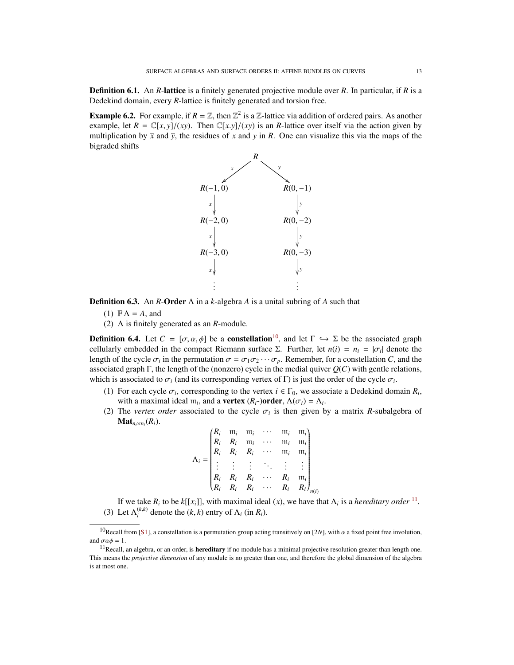Definition 6.1. An *R*-lattice is a finitely generated projective module over *R*. In particular, if *R* is a Dedekind domain, every *R*-lattice is finitely generated and torsion free.

**Example 6.2.** For example, if  $R = \mathbb{Z}$ , then  $\mathbb{Z}^2$  is a  $\mathbb{Z}$ -lattice via addition of ordered pairs. As another example, let  $R = \mathbb{C}[x, y]/(xy)$ . Then  $\mathbb{C}[x, y]/(xy)$  is an *R*-lattice over itself via the action given by multiplication by  $\bar{x}$  and  $\bar{y}$ , the residues of *x* and *y* in *R*. One can visualize this via the maps of the bigraded shifts



Definition 6.3. An *R*-Order Λ in a *k*-algebra *A* is a unital subring of *A* such that

(1)  $\mathbb{F}\Lambda = A$ , and

(2) Λ is finitely generated as an *R*-module.

**Definition 6.4.** Let  $C = [\sigma, \alpha, \phi]$  be a **constellation**<sup>[10](#page-12-0)</sup>, and let  $\Gamma \hookrightarrow \Sigma$  be the associated graph cellularly embedded in the compact Riemann surface  $\Sigma$ . Further, let  $n(i) = n_i = |\sigma_i|$  denote the length of the cycle  $\sigma_i$  in the permutation  $\sigma = \sigma_i \sigma_{i,i}$ . Remember for a constellation  $C$  and the length of the cycle  $\sigma_i$  in the permutation  $\sigma = \sigma_1 \sigma_2 \cdots \sigma_p$ . Remember, for a constellation *C*, and the associated graph  $\Gamma$  the length of the (popzero) cycle in the medial quiver  $O(C)$  with gentle relations associated graph Γ, the length of the (nonzero) cycle in the medial quiver *Q*(*C*) with gentle relations, which is associated to  $\sigma_i$  (and its corresponding vertex of  $\Gamma$ ) is just the order of the cycle  $\sigma_i$ .<br>(1)  $\Gamma$  is such as the component in the cycle of the cycle of  $\Gamma$ 

- (1) For each cycle  $\sigma_i$ , corresponding to the vertex  $i \in \Gamma_0$ , we associate a Dedekind domain  $R_i$ , with a maximal ideal m, and a **vertex**  $(R_{\square})$ **order**  $A(\sigma_i) = A_i$ . with a maximal ideal  $m_i$ , and a **vertex**  $(R_i-)$ **order**,  $\Lambda(\sigma_i) = \Lambda_i$ .<br>The *vertex order* associated to the cycle  $\sigma_i$  is then given by
- (2) The *vertex order* associated to the cycle  $\sigma_i$  is then given by a matrix *R*-subalgebra of **Mat**  $\sigma_i(R_i)$  $\mathbf{Mat}_{n_i \times n_i}(R_i)$ .

$$
\Lambda_i = \begin{pmatrix}\nR_i & m_i & m_i & \cdots & m_i & m_i \\
R_i & R_i & m_i & \cdots & m_i & m_i \\
R_i & R_i & R_i & \cdots & m_i & m_i \\
\vdots & \vdots & \vdots & \ddots & \vdots & \vdots \\
R_i & R_i & R_i & \cdots & R_i & m_i \\
R_i & R_i & R_i & \cdots & R_i & R_i\n\end{pmatrix}_{n(i)}
$$

If we take  $R_i$  to be  $k[[x_i]]$ , with maximal ideal  $(x)$ , we have that  $\Lambda_i$  is a *hereditary order* <sup>[11](#page-12-1)</sup>. (3) Let  $\Lambda_i^{(k,k)}$  denote the  $(k, k)$  entry of  $\Lambda_i$  (in  $R_i$ ).

<span id="page-12-0"></span><sup>&</sup>lt;sup>10</sup>Recall from [\[S1\]](#page-25-1), a constellation is a permutation group acting transitively on [2*N*], with  $\alpha$  a fixed point free involution, and  $\sigma \alpha \phi = 1$ .

<span id="page-12-1"></span> $11$ Recall, an algebra, or an order, is **hereditary** if no module has a minimal projective resolution greater than length one. This means the *projective dimension* of any module is no greater than one, and therefore the global dimension of the algebra is at most one.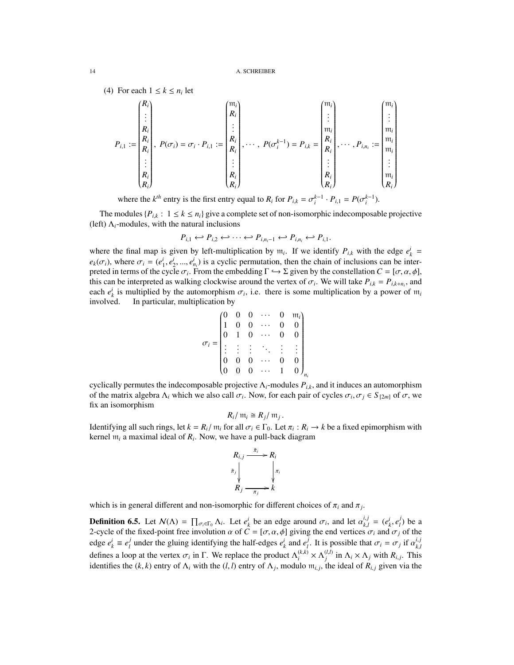(4) For each  $1 \leq k \leq n_i$  let

$$
P_{i,1} := \begin{pmatrix} R_i \\ \vdots \\ R_i \\ R_i \\ \vdots \\ R_i \\ R_i \end{pmatrix}, P(\sigma_i) = \sigma_i \cdot P_{i,1} := \begin{pmatrix} m_i \\ R_i \\ \vdots \\ R_i \\ R_i \\ \vdots \\ R_i \\ R_i \end{pmatrix}, \cdots, P(\sigma_i^{k-1}) = P_{i,k} = \begin{pmatrix} m_i \\ \vdots \\ m_i \\ R_i \\ \vdots \\ R_i \\ \vdots \\ R_i \\ R_i \end{pmatrix}, \cdots, P_{i,n_i} := \begin{pmatrix} m_i \\ \vdots \\ m_i \\ m_i \\ \vdots \\ m_i \\ \vdots \\ n_i \\ R_i \end{pmatrix}
$$

where the *k*<sup>th</sup> entry is the first entry equal to *R<sub>i</sub>* for  $P_{i,k} = \sigma_i^{k-1} \cdot P_{i,1} = P(\sigma_i^{k-1})$ .

The modules  ${P_i}_k$ :  $1 \le k \le n_i$  give a complete set of non-isomorphic indecomposable projective (left)  $\Lambda_i$ -modules, with the natural inclusions

$$
P_{i,1} \leftrightarrow P_{i,2} \leftrightarrow \cdots \leftrightarrow P_{i,n_i-1} \leftrightarrow P_{i,n_i} \leftrightarrow P_{i,1}.
$$

where the final map is given by left-multiplication by  $m_i$ . If we identify  $P_{i,k}$  with the edge  $e^i_k = \binom{i}{k}$  $e_k(\sigma_i)$ , where  $\sigma_i = (e_1^i, e_2^i, ..., e_n^i)$  is a cyclic permutation, then the chain of inclusions can be inter-<br>preted in terms of the cycle  $\sigma$ . From the embedding  $\Gamma \hookrightarrow \Sigma$  given by the constellation  $C = [\sigma, \alpha, \phi]$ preted in terms of the cycle  $\sigma_i$ . From the embedding  $\Gamma \hookrightarrow \Sigma$  given by the constellation  $C = [\sigma, \alpha, \phi]$ , this can be interpreted as walking clockwise around the vertex of  $\sigma$ . We will take  $P_{i,j} = P_{i,j}$  and this can be interpreted as walking clockwise around the vertex of  $\sigma_i$ . We will take  $P_{i,k} = P_{i,k+n_i}$ , and each  $e^i$  is multiplied by the automorphism  $\sigma_i$ , i.e., there is some multiplication by a power of m. each  $e^i_k$  is multiplied by the automorphism  $\sigma_i$ , i.e. there is some multiplication by a power of  $\mathfrak{m}_i$ <br>involved in particular multiplication by involved. In particular, multiplication by

$$
\sigma_i = \begin{pmatrix}\n0 & 0 & 0 & \cdots & 0 & m_i \\
1 & 0 & 0 & \cdots & 0 & 0 \\
0 & 1 & 0 & \cdots & 0 & 0 \\
\vdots & \vdots & \vdots & \ddots & \vdots & \vdots \\
0 & 0 & 0 & \cdots & 0 & 0 \\
0 & 0 & 0 & \cdots & 1 & 0\n\end{pmatrix}_{n_i}
$$

cyclically permutes the indecomposable projective <sup>Λ</sup>*i*-modules *<sup>P</sup><sup>i</sup>*,*<sup>k</sup>*, and it induces an automorphism of the matrix algebra  $Λ$ <sub>*i*</sub> which we also call  $σ$ <sub>*i*</sub>. Now, for each pair of cycles  $σ$ <sub>*i*</sub>,  $σ$ <sub>*j*</sub>  $∈$   $S$ <sub>[2*m*]</sub> of  $σ$ , we fix an isomorphism fix an isomorphism

$$
R_i/\mathfrak{m}_i \cong R_j/\mathfrak{m}_j
$$

 $R_i / m_i \cong R_j / m_j$ .<br>Identifying all such rings, let  $k = R_i / m_i$  for all  $\sigma_i \in \Gamma_0$ . Let  $\pi_i : R_i \to k$  be a fixed epimorphism with kernel m. a maximal ideal of R. Now, we have a pull-back diagram. kernel m*<sup>i</sup>* a maximal ideal of *R<sup>i</sup>* . Now, we have a pull-back diagram

$$
R_{i,j} \xrightarrow{\tilde{\pi}_i} R_i
$$
\n
$$
\tilde{\pi}_j \downarrow \qquad \qquad \downarrow \pi_i
$$
\n
$$
R_j \xrightarrow{\pi_j} R
$$

which is in general different and non-isomorphic for different choices of  $\pi_i$  and  $\pi_j$ .

**Definition 6.5.** Let  $N(\Lambda) = \prod_{\sigma_i \in \Gamma_0} \Lambda_i$ . Let  $e^i_k$  be an edge around  $\sigma_i$ , and let  $\alpha^{i,j}_{k,l}$ <br>2 cycle of the fixed point free involution  $\alpha$  of  $C = [\sigma, \alpha, \phi]$  giving the end vertices  $\begin{cases} i,j \in (e_k^i, e_l^j) \\ i \in I \text{ and } I \end{cases}$  $\binom{J}{l}$  be a 2-cycle of the fixed-point free involution  $\alpha$  of  $C = [\sigma, \alpha, \phi]$  giving the end vertices  $\sigma_i$  and  $\sigma_j$  of the class of  $\sigma_j$  or  $\phi$  and  $\sigma_j$  of the class of  $\sigma_j$  or  $\sigma_j$  or  $\sigma_j$  or  $\sigma_j$  or  $\sigma_j$  or  $\sigma_j$  or  $\sigma_j$  edge  $e_k^i \equiv e_l^j$ *l*<sub>*l*</sub> under the gluing identifying the half-edges  $e_k^i$  and  $e_l^j$ *l*. It is possible that  $\sigma_i = \sigma_j$  if  $\alpha_{k,l}^{i,j}$ *k*,*l* defines a loop at the vertex  $\sigma_i$  in Γ. We replace the product  $\Lambda_i^{(k,k)} \times \Lambda_j^{(l,l)}$  in  $\Lambda_i \times \Lambda_j$  with  $R_{i,j}$ . This identifies the  $(k, k)$  entry of  $\Lambda_i$  with the  $(l, l)$  entry of  $\Lambda_j$ , modulo  $\mathfrak{m}_{i,j}$ , the ideal of  $R_{i,j}$  given via the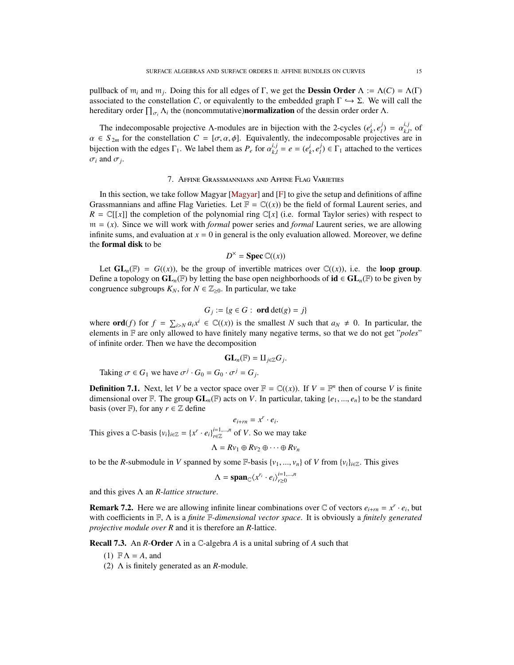pullback of  $m_i$  and  $m_j$ . Doing this for all edges of Γ, we get the **Dessin Order**  $\Lambda := \Lambda(C) = \Lambda(\Gamma)$ associated to the constellation *C*, or equivalently to the embedded graph  $\Gamma \hookrightarrow \Sigma$ . We will call the hereditary order  $\prod_{\sigma_i} \Lambda_i$  the (noncommutative)**normalization** of the dessin order order  $\Lambda$ .

The indecomposable projective Λ-modules are in bijection with the 2-cycles  $(e_k^i, e_l^j)$ <br>  $\in S_{\ge 0}$  for the constellation  $C = [x, \alpha, \phi]$ . Equivalently, the indecomposable projection  $\alpha_{k,l}^{j}$ , of cives are in *k* if the indecomposable projective *A* modules are in original with the *z* cycles  $(e_k, e_l) = a_{k,l}$ , or  $\alpha \in S_{2m}$  for the constellation  $C = [\sigma, \alpha, \phi]$ . Equivalently, the indecomposable projectives are in higher projectiv bijection with the edges  $\Gamma_1$ . We label them as  $P_e$  for  $\alpha_{k,l}^{i,j}$  $k,l = e = (e_k^i, e_l^j)$  $l_l^j$ )  $\in \Gamma_1$  attached to the vertices  $\sigma_i$  and  $\sigma_j$ .

## 7. Affine Grassmannians and Affine Flag Varieties

<span id="page-14-0"></span>In this section, we take follow Magyar [\[Magyar\]](#page-25-3) and  $[F]$  to give the setup and definitions of affine Grassmannians and affine Flag Varieties. Let  $\mathbb{F} = \mathbb{C}((x))$  be the field of formal Laurent series, and  $R = \mathbb{C}[[x]]$  the completion of the polynomial ring  $\mathbb{C}[x]$  (i.e. formal Taylor series) with respect to  $m = (x)$ . Since we will work with *formal* power series and *formal* Laurent series, we are allowing infinite sums, and evaluation at  $x = 0$  in general is the only evaluation allowed. Moreover, we define the formal disk to be

$$
D^{\times} = \text{Spec } \mathbb{C}((x))
$$

Let  $GL_n(\mathbb{F}) = G(x)$ , be the group of invertible matrices over  $\mathbb{C}((x))$ , i.e. the **loop group**. Define a topology on  $GL_n(\mathbb{F})$  by letting the base open neighborhoods of  $id \in GL_n(\mathbb{F})$  to be given by congruence subgroups  $K_N$ , for  $N \in \mathbb{Z}_{\geq 0}$ . In particular, we take

$$
G_j := \{ g \in G : \text{ ord} \det(g) = j \}
$$

where  $\textbf{ord}(f)$  for  $f = \sum_{i > N} a_i x^i \in \mathbb{C}((x))$  is the smallest *N* such that  $a_N \neq 0$ . In particular, the selection of  $f$  and  $f$  and  $f$  and  $f$  and  $f$  and  $f$  and  $f$  and  $f$  and  $f$  and  $f$  and  $f$  and  $f$  and  $f$ elements in F are only allowed to have finitely many negative terms, so that we do not get "*poles*" of infinite order. Then we have the decomposition

$$
\mathbf{GL}_n(\mathbb{F})=\amalg_{j\in\mathbb{Z}}G_j
$$

Taking  $\sigma \in G_1$  we have  $\sigma^j \cdot G_0 = G_0 \cdot \sigma^j = G_j$ .

**Definition 7.1.** Next, let *V* be a vector space over  $\mathbb{F} = \mathbb{C}((x))$ . If  $V = \mathbb{F}^n$  then of course *V* is finite dimensional over  $\mathbb{F}$ . The group  $GL_n(\mathbb{F})$  acts on *V*. In particular, taking  $\{e_1, ..., e_n\}$  to be the standard basis (over F), for any  $r \in \mathbb{Z}$  define

 $e_{i+rn} = x^r \cdot e_i$ This gives a C-basis  $\{v_i\}_{i \in \mathbb{Z}} = \{x^r \cdot e_i\}_{r \in \mathbb{Z}}^{i=1,\dots,n}$  of *V*. So we may take

$$
\Lambda = Rv_1 \oplus Rv_2 \oplus \cdots \oplus Rv_n
$$

to be the *R*-submodule in *V* spanned by some F-basis  $\{v_1, ..., v_n\}$  of *V* from  $\{v_i\}_{i \in \mathbb{Z}}$ . This gives

$$
\Lambda = \mathbf{span}_{\mathbb{C}} \langle x^{r_i} \cdot e_i \rangle_{r \geq 0}^{i=1,\dots,n}
$$

and this gives Λ an *R*-*lattice structure*.

**Remark 7.2.** Here we are allowing infinite linear combinations over  $\mathbb{C}$  of vectors  $e_{i+m} = x^r \cdot e_i$ , but with coefficients in F, Λ is a *finite* F*-dimensional vector space*. It is obviously a *finitely generated projective module over R* and it is therefore an *R*-lattice.

Recall 7.3. An *R*-Order Λ in a C-algebra *A* is a unital subring of *A* such that

- (1)  $\mathbb{F}\Lambda = A$ , and
- (2) Λ is finitely generated as an *R*-module.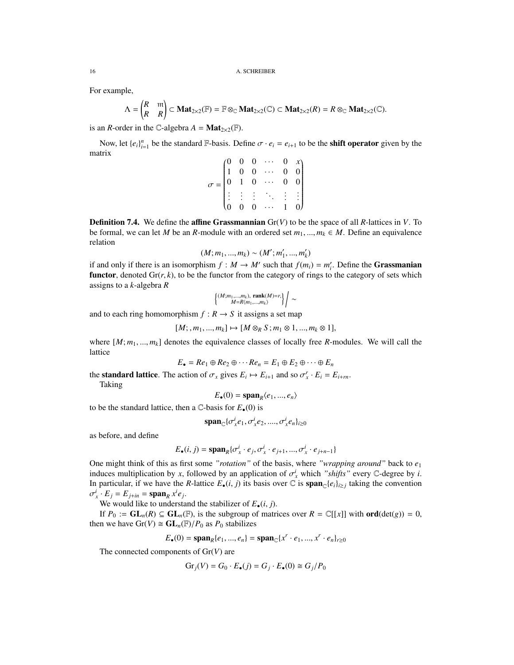For example,

$$
\Lambda = \begin{pmatrix} R & \text{m} \\ R & R \end{pmatrix} \subset \mathbf{Mat}_{2 \times 2}(\mathbb{F}) = \mathbb{F} \otimes_{\mathbb{C}} \mathbf{Mat}_{2 \times 2}(\mathbb{C}) \subset \mathbf{Mat}_{2 \times 2}(R) = R \otimes_{\mathbb{C}} \mathbf{Mat}_{2 \times 2}(\mathbb{C}).
$$

is an *R*-order in the C-algebra  $A = Mat_{2 \times 2}(\mathbb{F})$ .

Now, let  $\{e_i\}_{i=1}^n$  be the standard  $\mathbb{F}$ -basis. Define  $\sigma \cdot e_i = e_{i+1}$  to be the **shift operator** given by the trix matrix

$$
\sigma = \begin{pmatrix}\n0 & 0 & 0 & \cdots & 0 & x \\
1 & 0 & 0 & \cdots & 0 & 0 \\
0 & 1 & 0 & \cdots & 0 & 0 \\
\vdots & \vdots & \vdots & \ddots & \vdots & \vdots \\
0 & 0 & 0 & \cdots & 1 & 0\n\end{pmatrix}
$$

**Definition 7.4.** We define the **affine Grassmannian**  $Gr(V)$  to be the space of all *R*-lattices in *V*. To be formal, we can let *M* be an *R*-module with an ordered set  $m_1, ..., m_k \in M$ . Define an equivalence relation

$$
(M; m_1, ..., m_k) \sim (M'; m'_1, ..., m'_k)
$$

 $(M; m_1, ..., m_k) \sim (M'; m'_1, ..., m'_k)$ <br>if and only if there is an isomorphism  $f : M \to M'$  such that  $f(m_i) = m'_i$ . Define the **Grassmanian functor**, denoted  $\text{Gr}(r, k)$ , to be the functor from the category of rings to the category of sets which assigns to a *k*-algebra *R*

$$
\left\{\begin{matrix} (M;m_1,...,m_k),\ {\bf rank}(M){=}r,\\ M{=}R\langle m_1,...,m_k\rangle\end{matrix}\right\}\Bigg/\sim
$$

and to each ring homomorphism  $f : R \to S$  it assigns a set map

$$
[M; , m_1, ..., m_k] \mapsto [M \otimes_R S; m_1 \otimes 1, ..., m_k \otimes 1],
$$

where  $[M; m_1, ..., m_k]$  denotes the equivalence classes of locally free *R*-modules. We will call the lattice lattice

$$
E_{\bullet} = Re_1 \oplus Re_2 \oplus \cdots Re_n = E_1 \oplus E_2 \oplus \cdots \oplus E_n
$$

the **standard lattice**. The action of  $\sigma_x$  gives  $E_i \mapsto E_{i+1}$  and so  $\sigma_x^r \cdot E_i = E_{i+m}$ .<br>Taking

Taking

$$
E_{\bullet}(0) = \text{span}_{R} \langle e_1, ..., e_n \rangle
$$

to be the standard lattice, then a  $\mathbb{C}$ -basis for  $E_{\bullet}(0)$  is

$$
\mathrm{span}_{\mathbb{C}}\{\sigma_x^i e_1, \sigma_x^i e_2, \dots, \sigma_x^i e_n\}_{i\geq 0}
$$

as before, and define

$$
E_{\bullet}(i, j) = \mathrm{span}_{R} \{ \sigma_x^{i} \cdot e_j, \sigma_x^{i} \cdot e_{j+1}, ..., \sigma_x^{i} \cdot e_{j+n-1} \}
$$

One might think of this as first some *"rotation"* of the basis, where *"wrapping around"* back to *e*<sup>1</sup> induces multiplication by *x*, followed by an application of  $\sigma_x^i$  which *"shifts"* every C-degree by *i*.<br>In particular, if we have the *R*-lattice *F* (*i*, *i*) its basis over C is **span**-le-bs, taking the convention In particular, if we have the *R*-lattice  $E_{\bullet}(i, j)$  its basis over  $\mathbb{C}$  is  $\text{span}_{\mathbb{C}}\{e_i\}_{i \geq j}$  taking the convention  $\mathbb{C}^i$ .  $E_i = E_{i,i} = \text{span}_{\mathbb{C}}\{e_i\}$  $i_x$  ·  $E_j = E_{j+in} = \text{span}_R x^i e_j$ .

We would like to understand the stabilizer of  $E_{\bullet}(i, j)$ .

If  $P_0 := GL_n(R) \subseteq GL_n(\mathbb{F})$ , is the subgroup of matrices over  $R = \mathbb{C}[[x]]$  with ord(det(*g*)) = 0, then we have  $Gr(V) \cong GL_n(\mathbb{F})/P_0$  as  $P_0$  stabilizes

$$
E_{\bullet}(0) = \text{span}_{R}\{e_1, ..., e_n\} = \text{span}_{\mathbb{C}}\{x^r \cdot e_1, ..., x^r \cdot e_n\}_{n \ge 0}
$$

The connected components of Gr(*V*) are

$$
\mathrm{Gr}_j(V) = G_0 \cdot E_{\bullet}(j) = G_j \cdot E_{\bullet}(0) \cong G_j/P_0
$$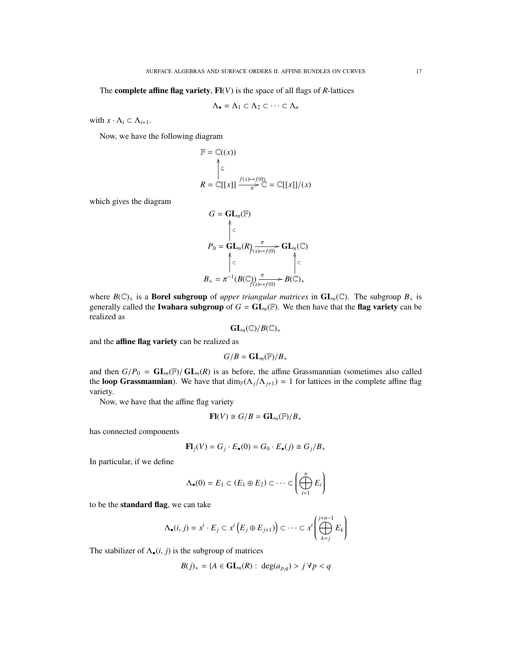The **complete affine flag variety**,  $\mathbf{F}(\mathbf{V})$  is the space of all flags of *R*-lattices

$$
\Lambda_{\bullet} = \Lambda_1 \subset \Lambda_2 \subset \cdots \subset \Lambda_n
$$

with  $x \cdot \Lambda_i \subset \Lambda_{i+1}$ .

Now, we have the following diagram

$$
\mathbb{F} = \mathbb{C}((x))
$$
\n
$$
\uparrow \subseteq
$$
\n
$$
R = \mathbb{C}[[x]] \xrightarrow{f(x) \mapsto f(0)} \mathbb{C} = \mathbb{C}[[x]]/(x)
$$

which gives the diagram

$$
G = GL_n(\mathbb{F})
$$
  

$$
P_0 = GL_n(R) \xrightarrow{\pi} GL_n(\mathbb{C})
$$
  

$$
\uparrow \subset \qquad \qquad \downarrow
$$
  

$$
B_+ = \pi^{-1}(B(\mathbb{C})) \xrightarrow{\pi} B(\mathbb{C})_+
$$

where  $B(\mathbb{C})_+$  is a **Borel subgroup** of *upper triangular matrices* in  $GL_n(\mathbb{C})$ . The subgroup  $B_+$  is generally called the **Iwahara subgroup** of  $G = GL_n(\mathbb{F})$ . We then have that the **flag variety** can be realized as

$$
\operatorname{GL}_n(\mathbb{C})/B(\mathbb{C})_+
$$

and the affine flag variety can be realized as

$$
G/B = \mathbf{GL}_n(\mathbb{F})/B_+
$$

and then  $G/P_0 = GL_n(\mathbb{F})/ GL_n(R)$  is as before, the affine Grassmannian (sometimes also called the loop Grassmannian). We have that  $\dim_F(\Lambda_j/\Lambda_{j+1}) = 1$  for lattices in the complete affine flag variety.

Now, we have that the affine flag variety

$$
\mathbf{Fl}(V) \cong G/B = \mathbf{GL}_n(\mathbb{F})/B_+
$$

has connected components

$$
\mathbf{Fl}_j(V) = G_j \cdot E_{\bullet}(0) = G_0 \cdot E_{\bullet}(j) \cong G_j/B_+
$$

In particular, if we define

$$
\Lambda_{\bullet}(0) = E_1 \subset (E_1 \oplus E_2) \subset \cdots \subset \left(\bigoplus_{i=1}^n E_i\right)
$$

to be the standard flag, we can take

$$
\Lambda_{\bullet}(i,j) = x^{i} \cdot E_{j} \subset x^{i} \left( E_{j} \oplus E_{j+1} \right) \subset \cdots \subset x^{i} \left( \bigoplus_{k=j}^{j+n-1} E_{k} \right)
$$

The stabilizer of  $\Lambda_{\bullet}(i, j)$  is the subgroup of matrices

$$
B(j)_{+} = \{A \in \mathbf{GL}_n(R) : \deg(a_{p,q}) > j \,\forall p < q
$$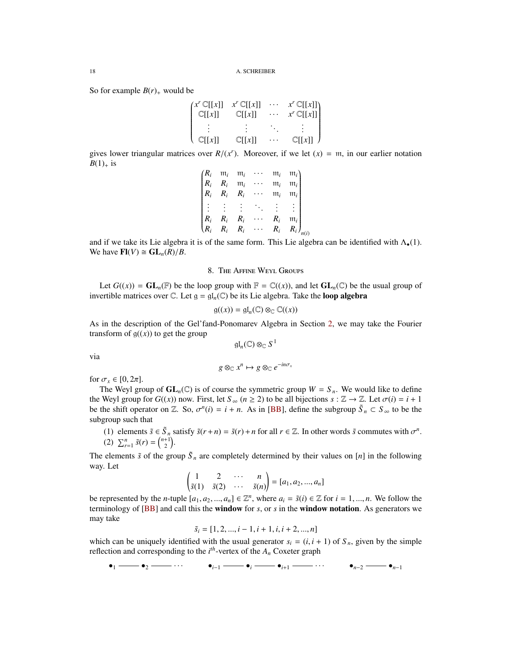So for example  $B(r)$  would be

$$
\begin{pmatrix} x^r \mathbb{C}[[x]] & x^r \mathbb{C}[[x]] & \cdots & x^r \mathbb{C}[[x]] \\ \mathbb{C}[[x]] & \mathbb{C}[[x]] & \cdots & x^r \mathbb{C}[[x]] \\ \vdots & \vdots & \ddots & \vdots \\ \mathbb{C}[[x]] & \mathbb{C}[[x]] & \cdots & \mathbb{C}[[x]] \end{pmatrix}
$$

gives lower triangular matrices over  $R/(x^r)$ . Moreover, if we let  $(x) = m$ , in our earlier notation  $R(1)$  is  $B(1)_+$  is

| $(R_i)$ | $m_i$ |                                         |                      | $m_i$ | $m_i$         |  |
|---------|-------|-----------------------------------------|----------------------|-------|---------------|--|
| $R_i$   | $R_i$ | $\frac{\mathfrak{m}_i}{\mathfrak{m}_i}$ |                      | $m_i$ | $m_i$         |  |
| $R_i$   |       | $R_i$ $R_i$ $\cdots$                    |                      | $m_i$ | $m_i$         |  |
|         |       |                                         |                      |       |               |  |
|         |       |                                         |                      |       |               |  |
| $R_i$   | $R_i$ | $R_i$                                   |                      | $R_i$ | $m_i$         |  |
| $R_i$   |       |                                         | $R_i$ $R_i$ $\cdots$ | $R_i$ | $R_i)_{n(i)}$ |  |

and if we take its Lie algebra it is of the same form. This Lie algebra can be identified with  $\Lambda_{\bullet}(1)$ . We have  $\mathbf{Fl}(V) \cong \mathbf{GL}_n(R)/B$ .

## 8. The Affine Weyl Groups

<span id="page-17-0"></span>Let  $G((x)) = GL_n(\mathbb{F})$  be the loop group with  $\mathbb{F} = \mathbb{C}((x))$ , and let  $GL_n(\mathbb{C})$  be the usual group of invertible matrices over  $\mathbb C$ . Let  $\mathfrak g = \mathfrak{gl}_n(\mathbb C)$  be its Lie algebra. Take the **loop algebra** 

$$
\mathfrak{g}((x)) = \mathfrak{gl}_n(\mathbb{C}) \otimes_{\mathbb{C}} \mathbb{C}((x))
$$

As in the description of the Gel'fand-Ponomarev Algebra in Section [2,](#page-3-0) we may take the Fourier transform of  $g((x))$  to get the group

$$
\mathfrak{gl}_n(\mathbb{C})\otimes_{\mathbb{C}}S^1
$$

via

$$
g \otimes_{\mathbb{C}} x^n \mapsto g \otimes_{\mathbb{C}} e^{-in \sigma_x}
$$

for  $\sigma_x \in [0, 2\pi]$ .

The Weyl group of  $GL_n(\mathbb{C})$  is of course the symmetric group  $W = S_n$ . We would like to define the Weyl group for  $G((x))$  now. First, let  $S_\infty$  ( $n \ge 2$ ) to be all bijections  $s : \mathbb{Z} \to \mathbb{Z}$ . Let  $\sigma(i) = i + 1$ be the shift operator on  $\mathbb{Z}$ . So,  $\sigma^n(i) = i + n$ . As in [\[BB\]](#page-25-4), define the subgroup  $\tilde{S}_n \subset S_\infty$  to be the subgroup such that subgroup such that

<span id="page-17-1"></span>(1) elements  $\tilde{s} \in \tilde{S}_n$  satisfy  $\tilde{s}(r+n) = \tilde{s}(r) + n$  for all  $r \in \mathbb{Z}$ . In other words  $\tilde{s}$  commutes with  $\sigma^n$ .<br>(2)  $\sum_{n=1}^{n} \tilde{s}(n) = {n+1 \choose 2}$ (2)  $\sum_{r=1}^{n} \tilde{s}(r) = \binom{n+1}{2}$ .

The elements  $\tilde{s}$  of the group  $\tilde{S}_n$  are completely determined by their values on [*n*] in the following way. Let

$$
\begin{pmatrix} 1 & 2 & \cdots & n \\ \tilde{s}(1) & \tilde{s}(2) & \cdots & \tilde{s}(n) \end{pmatrix} = [a_1, a_2, ..., a_n]
$$

be represented by the *n*-tuple  $[a_1, a_2, ..., a_n] \in \mathbb{Z}^n$ , where  $a_i = \tilde{s}(i) \in \mathbb{Z}$  for  $i = 1, ..., n$ . We follow the reminology of *[RRI and call this the window for s*, or s in the **window notation**. As generators we terminology of [\[BB\]](#page-25-4) and call this the window for *s*, or *s* in the window notation. As generators we may take

$$
\tilde{s}_i = [1, 2, ..., i - 1, i + 1, i, i + 2, ..., n]
$$

which can be uniquely identified with the usual generator  $s_i = (i, i + 1)$  of  $S_n$ , given by the simple reflection and corresponding to the *i*<sup>th</sup>-vertex of the *A*. Coveter graph reflection and corresponding to the  $i<sup>th</sup>$ -vertex of the  $A<sub>n</sub>$  Coxeter graph

$$
\bullet_1 \longrightarrow \bullet_2 \longrightarrow \cdots \qquad \bullet_{i-1} \longrightarrow \bullet_i \longrightarrow \bullet_{i+1} \longrightarrow \cdots \qquad \bullet_{n-2} \longrightarrow \bullet_{n-1}
$$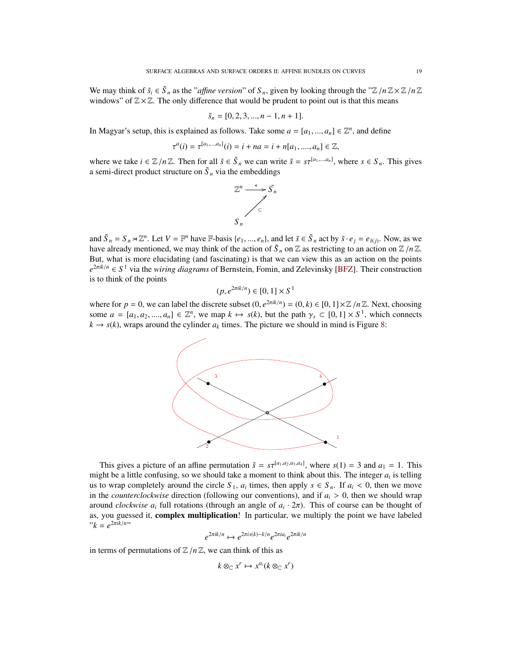We may think of  $\tilde{s}_i \in \tilde{S}_n$  as the "*affine version*" of  $S_n$ , given by looking through the " $\mathbb{Z}/n\mathbb{Z} \times \mathbb{Z}/n\mathbb{Z}$ "<br>windows" of  $\mathbb{Z} \times \mathbb{Z}$ . The only difference that would be prudent to point out is th windows" of  $\mathbb{Z} \times \mathbb{Z}$ . The only difference that would be prudent to point out is that this means

$$
\tilde{s}_n = [0, 2, 3, ..., n-1, n+1].
$$

In Magyar's setup, this is explained as follows. Take some  $a = [a_1, ..., a_n] \in \mathbb{Z}^n$ , and define

$$
\tau^{a}(i) = \tau^{[a_1,...,a_n]}(i) = i + na = i + n[a_1, ..., a_n] \in \mathbb{Z},
$$

where we take  $i \in \mathbb{Z}/n\mathbb{Z}$ . Then for all  $\tilde{s} \in \tilde{S}_n$  we can write  $\tilde{s} = s\tau^{[a_1,\dots,a_n]}$ , where  $s \in S_n$ . This gives a semi-direct product structure on  $\tilde{S}$  via the embeddings a semi-direct product structure on  $\tilde{S}_n$  via the embeddings



and  $\tilde{S}_n = S_n \rtimes \mathbb{Z}^n$ . Let  $V = \mathbb{F}^n$  have  $\mathbb{F}$ -basis  $\{e_1, ..., e_n\}$ , and let  $\tilde{s} \in \tilde{S}_n$  act by  $\tilde{s} \cdot e_j = e_{\tilde{s}(j)}$ . Now, as we have already mentioned we may think of the action of  $\tilde{S}$ , or  $\mathbb{Z}$ have already mentioned, we may think of the action of  $\tilde{S}_n$  on  $\mathbb Z$  as restricting to an action on  $\mathbb Z/n\mathbb Z$ .<br>But what is more elucidating (and fascinating) is that we can view this as an action on the points But, what is more elucidating (and fascinating) is that we can view this as an action on the points *e* <sup>2</sup>π*ik*/*<sup>n</sup>* ∈ *S* <sup>1</sup> via the *wiring diagrams* of Bernstein, Fomin, and Zelevinsky [\[BFZ\]](#page-25-13). Their construction is to think of the points

$$
(p, e^{2\pi i k/n}) \in [0, 1] \times S^1
$$

where for  $p = 0$ , we can label the discrete subset  $(0, e^{2\pi i k/n}) = (0, k) \in [0, 1] \times \mathbb{Z}/n\mathbb{Z}$ . Next, choosing some  $a = [a, a] \in \mathbb{Z}^n$  we man  $k \mapsto s(k)$  but the path  $\chi \in [0, 1] \times S^1$  which connects some  $a = [a_1, a_2, \dots, a_n] \in \mathbb{Z}^n$ , we map  $k \mapsto s(k)$ , but the path  $\gamma_s \subset [0, 1] \times S^1$ , which connects  $k \mapsto s(k)$  wrans around the cylinder *a<sub>i</sub>* times. The picture we should in mind is Figure 8:  $k \rightarrow s(k)$ , wraps around the cylinder  $a_k$  times. The picture we should in mind is Figure [8:](#page-17-1)



This gives a picture of an affine permutation  $\tilde{s} = s\tau^{[a_1,a_2,a_3,a_4]}$ , where  $s(1) = 3$  and  $a_1 = 1$ . This might be a little confusing, so we should take a moment to think about this. The integer  $a_i$  is telling us to wrap completely around the circle  $S_1$ ,  $a_i$  times, then apply  $s \in S_n$ . If  $a_i < 0$ , then we move<br>in the *counterclockwise* direction (following our conventions) and if  $a_i > 0$ , then we should wrap in the *counterclockwise* direction (following our conventions), and if  $a_i > 0$ , then we should wrap around *clockwise a<sub>i</sub>* full rotations (through an angle of  $a_i \cdot 2\pi$ ). This of course can be thought of as you guessed it **complex multiplication**! In particular, we multiply the point we have labeled as, you guessed it, complex multiplication! In particular, we multiply the point we have labeled  $"k = e^{2\pi i k/n}"$ 

$$
e^{2\pi i k/n} \mapsto e^{2\pi i s(k) - k/n} e^{2\pi i a_i} e^{2\pi i k/n}
$$

in terms of permutations of  $\mathbb{Z}/n\mathbb{Z}$ , we can think of this as

$$
k \otimes_{\mathbb{C}} x^r \mapsto x^{a_i} (k \otimes_{\mathbb{C}} x^r)
$$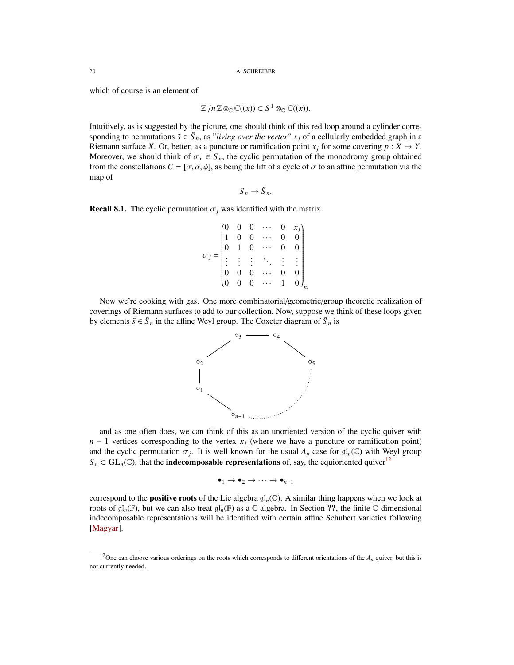which of course is an element of

$$
\mathbb{Z}/n\mathbb{Z}\otimes_{\mathbb{C}}\mathbb{C}((x))\subset S^1\otimes_{\mathbb{C}}\mathbb{C}((x)).
$$

Intuitively, as is suggested by the picture, one should think of this red loop around a cylinder corresponding to permutations  $\tilde{s} \in \tilde{S}_n$ , as "*living over the vertex*"  $x_j$  of a cellularly embedded graph in a Riemann surface *X*. Or, better, as a puncture or ramification point  $x_j$  for some covering  $p : X \to Y$ . Moreover, we should think of  $\sigma_x \in \tilde{S}_n$ , the cyclic permutation of the monodromy group obtained<br>from the constellations  $C = [\sigma, \alpha, \phi]$  as being the lift of a cycle of  $\sigma$  to an affine permutation via the from the constellations  $C = [\sigma, \alpha, \phi]$ , as being the lift of a cycle of  $\sigma$  to an affine permutation via the map of

$$
S_n \to \tilde{S}_n.
$$

**Recall 8.1.** The cyclic permutation  $\sigma_i$  was identified with the matrix

$$
\sigma_j = \begin{pmatrix}\n0 & 0 & 0 & \cdots & 0 & x_j \\
1 & 0 & 0 & \cdots & 0 & 0 \\
0 & 1 & 0 & \cdots & 0 & 0 \\
\vdots & \vdots & \vdots & \ddots & \vdots & \vdots \\
0 & 0 & 0 & \cdots & 0 & 0 \\
0 & 0 & 0 & \cdots & 1 & 0\n\end{pmatrix}_{n_i}
$$

Now we're cooking with gas. One more combinatorial/geometric/group theoretic realization of coverings of Riemann surfaces to add to our collection. Now, suppose we think of these loops given by elements  $\tilde{s} \in \tilde{S}_n$  in the affine Weyl group. The Coxeter diagram of  $\tilde{S}_n$  is



and as one often does, we can think of this as an unoriented version of the cyclic quiver with  $n - 1$  vertices corresponding to the vertex  $x_j$  (where we have a puncture or ramification point) and the cyclic permutation  $\sigma_j$ . It is well known for the usual  $A_n$  case for  $\mathfrak{gl}_n(\mathbb{C})$  with Weyl group  $S_n \subset GL_n(\mathbb{C})$ , that the **indecomposable representations** of, say, the equioriented quiver<sup>[12](#page-19-0)</sup>

 $\bullet_1 \rightarrow \bullet_2 \rightarrow \cdots \rightarrow \bullet_{n-1}$ 

correspond to the **positive roots** of the Lie algebra  $\mathfrak{gl}_n(\mathbb{C})$ . A similar thing happens when we look at roots of  $\mathfrak{gl}_n(\mathbb{F})$ , but we can also treat  $\mathfrak{gl}_n(\mathbb{F})$  as a  $\mathbb C$  algebra. In Section ??, the finite  $\mathbb C$ -dimensional indecomposable representations will be identified with certain affine Schubert varieties following [\[Magyar\]](#page-25-3).

<span id="page-19-0"></span><sup>&</sup>lt;sup>12</sup>One can choose various orderings on the roots which corresponds to different orientations of the  $A_n$  quiver, but this is not currently needed.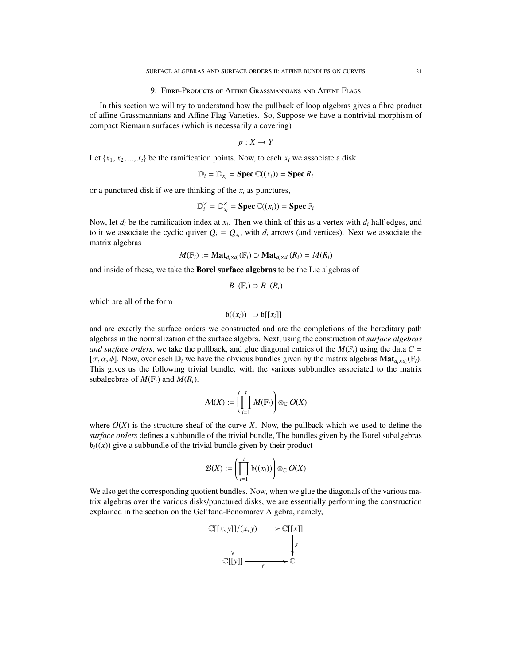#### 9. Fibre-Products of Affine Grassmannians and Affine Flags

<span id="page-20-0"></span>In this section we will try to understand how the pullback of loop algebras gives a fibre product of affine Grassmannians and Affine Flag Varieties. So, Suppose we have a nontrivial morphism of compact Riemann surfaces (which is necessarily a covering)

$$
p:X\to Y
$$

Let  $\{x_1, x_2, \ldots, x_t\}$  be the ramification points. Now, to each  $x_i$  we associate a disk

$$
\mathbb{D}_i = \mathbb{D}_{x_i} = \text{Spec } \mathbb{C}((x_i)) = \text{Spec } R_i
$$

or a punctured disk if we are thinking of the *x<sup>i</sup>* as punctures,

$$
\mathbb{D}_{i}^{\times} = \mathbb{D}_{x_{i}}^{\times} = \text{Spec } \mathbb{C}((x_{i})) = \text{Spec } \mathbb{F}_{i}
$$

Now, let  $d_i$  be the ramification index at  $x_i$ . Then we think of this as a vertex with  $d_i$  half edges, and to it we associate the cyclic quiver  $Q_i = Q_{x_i}$ , with  $d_i$  arrows (and vertices). Next we associate the matrix algebras

$$
M(\mathbb{F}_i) := \mathbf{Mat}_{d_i \times d_i}(\mathbb{F}_i) \supset \mathbf{Mat}_{d_i \times d_i}(R_i) = M(R_i)
$$

and inside of these, we take the Borel surface algebras to be the Lie algebras of

$$
B_{-}(\mathbb{F}_i) \supset B_{-}(R_i)
$$

which are all of the form

$$
\mathfrak{b}((x_i))_{-} \supset \mathfrak{b}[[x_i]]_{-}
$$

and are exactly the surface orders we constructed and are the completions of the hereditary path algebras in the normalization of the surface algebra. Next, using the construction of *surface algebras and surface orders*, we take the pullback, and glue diagonal entries of the  $M(\mathbb{F}_i)$  using the data  $C =$ [ $\sigma$ ,  $\alpha$ ,  $\phi$ ]. Now, over each  $D_i$  we have the obvious bundles given by the matrix algebras **Mat**<sub>*d*</sub>*xd*<sub>*i*</sub>( $F_i$ ). This gives us the following trivial bundle, with the various subbundles associated to the matri This gives us the following trivial bundle, with the various subbundles associated to the matrix subalgebras of  $M(\mathbb{F}_i)$  and  $M(R_i)$ .

$$
\mathcal{M}(X) := \left(\prod_{i=1}^t M(\mathbb{F}_i)\right) \otimes_{\mathbb{C}} O(X)
$$

where  $O(X)$  is the structure sheaf of the curve *X*. Now, the pullback which we used to define the *surface orders* defines a subbundle of the trivial bundle, The bundles given by the Borel subalgebras  $b_i((x))$  give a subbundle of the trivial bundle given by their product

$$
\mathcal{B}(X) := \left(\prod_{i=1}^t \mathfrak{b}((x_i))\right) \otimes_{\mathbb{C}} O(X)
$$

We also get the corresponding quotient bundles. Now, when we glue the diagonals of the various matrix algebras over the various disks/punctured disks, we are essentially performing the construction explained in the section on the Gel'fand-Ponomarev Algebra, namely,

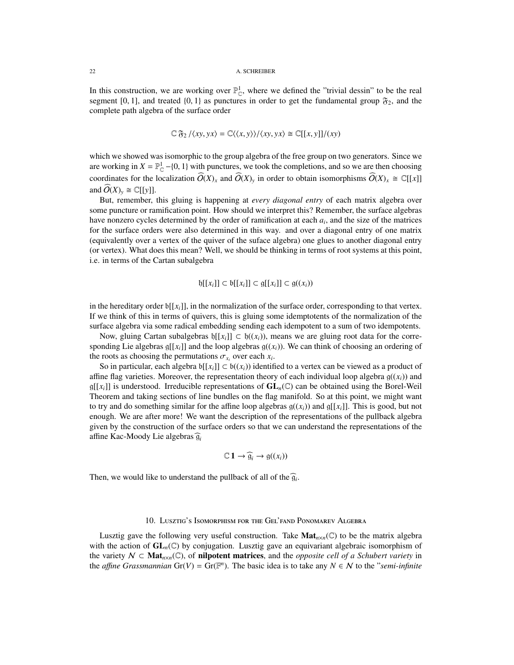### 22 A. SCHREIBER

In this construction, we are working over  $\mathbb{P}_{\mathbb{C}}^1$ , where we defined the "trivial dessin" to be the real segment [0, 1], and treated  $\{0, 1\}$  as punctures in order to get the fundamental group  $\mathfrak{F}_2$ , and the complete path algebra of the surface order complete path algebra of the surface order

$$
\mathbb{C} \mathfrak{F}_2 / \langle xy, yx \rangle = \mathbb{C} \langle \langle x, y \rangle \rangle / \langle xy, yx \rangle \cong \mathbb{C}[[x, y]] / (xy)
$$

which we showed was isomorphic to the group algebra of the free group on two generators. Since we are working in  $X = \mathbb{P}^1_{\mathbb{C}}$  −{0, 1} with punctures, we took the completions, and so we are then choosing coordinates for the localization  $\widehat{O}(X)_x$  and  $\widehat{O}(X)_y$  in order to obtain isomorphisms  $\widehat{O}(X)_x \cong \mathbb{C}[[x]]$ and  $\widetilde{O}(X)_v \cong \mathbb{C}[[v]].$ 

But, remember, this gluing is happening at *every diagonal entry* of each matrix algebra over some puncture or ramification point. How should we interpret this? Remember, the surface algebras have nonzero cycles determined by the order of ramification at each *a<sup>i</sup>* , and the size of the matrices for the surface orders were also determined in this way. and over a diagonal entry of one matrix (equivalently over a vertex of the quiver of the suface algebra) one glues to another diagonal entry (or vertex). What does this mean? Well, we should be thinking in terms of root systems at this point, i.e. in terms of the Cartan subalgebra

$$
\mathfrak{h}[[x_i]] \subset \mathfrak{b}[[x_i]] \subset \mathfrak{g}[[x_i]] \subset \mathfrak{g}((x_i))
$$

in the hereditary order  $\mathfrak{b}[[x_i]]$ , in the normalization of the surface order, corresponding to that vertex. If we think of this in terms of quivers, this is gluing some idemptotents of the normalization of the surface algebra via some radical embedding sending each idempotent to a sum of two idempotents.

Now, gluing Cartan subalgebras  $\mathfrak{h}[[x_i]] \subset \mathfrak{h}((x_i))$ , means we are gluing root data for the corresponding Lie algebras  $g[[x_i]]$  and the loop algebras  $g((x_i))$ . We can think of choosing an ordering of the roots as choosing the permutations  $\sigma_{x_i}$  over each  $x_i$ .<br>So in particular, each algebra  $h[x_i]$   $\subset h((x_i))$  identified

So in particular, each algebra  $b[[x_i]] \subset b((x_i))$  identified to a vertex can be viewed as a product of affine flag varieties. Moreover, the representation theory of each individual loop algebra  $g((x_i))$  and  $g[[x_i]]$  is understood. Irreducible representations of  $GL_n(\mathbb{C})$  can be obtained using the Borel-Weil Theorem and taking sections of line bundles on the flag manifold. So at this point, we might want to try and do something similar for the affine loop algebras  $g((x_i))$  and  $g[[x_i]]$ . This is good, but not enough. We are after more! We want the description of the representations of the pullback algebra given by the construction of the surface orders so that we can understand the representations of the affine Kac-Moody Lie algebras  $\widehat{g_i}$ 

$$
\mathbb{C}\,1\to\widehat{\mathfrak{g}}_i\to\mathfrak{g}((x_i))
$$

Then, we would like to understand the pullback of all of the  $\widehat{g}_i$ .

### 10. Lusztig's Isomorphism for the Gel'fand Ponomarev Algebra

<span id="page-21-0"></span>Lusztig gave the following very useful construction. Take  $Mat_{n\times n}(\mathbb{C})$  to be the matrix algebra with the action of  $GL_n(\mathbb{C})$  by conjugation. Lusztig gave an equivariant algebraic isomorphism of the variety  $N \subset Mat_{n \times n}(\mathbb{C})$ , of **nilpotent matrices**, and the *opposite cell of a Schubert variety* in the *affine Grassmannian* Gr(V) = Gr( $\mathbb{F}^n$ ). The basic idea is to take any  $N \in \mathcal{N}$  to the "*semi-infinite*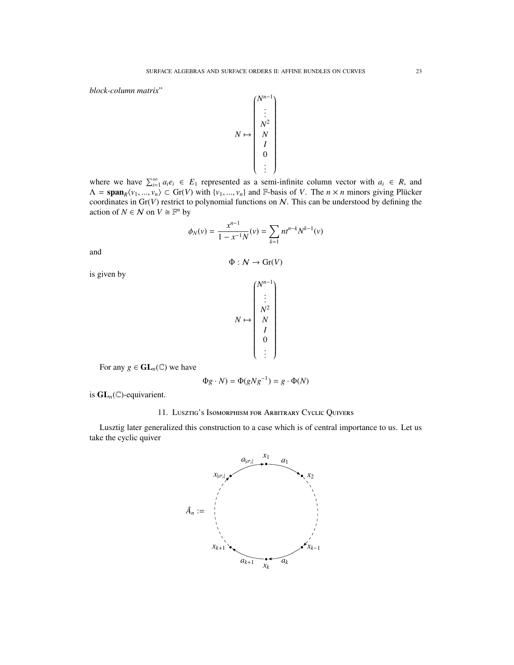*block-column matrix*"

$$
N \mapsto \begin{pmatrix} N^{n-1} \\ \vdots \\ N^2 \\ N \\ N \\ I \\ 0 \\ \vdots \end{pmatrix}
$$

where we have  $\sum_{i=1}^{\infty} a_i e_i \in E_1$  represented as a semi-infinite column vector with  $a_i \in R$ , and  $\Lambda = \text{span}_R \langle v_1, \ldots, v_n \rangle \subset \text{Gr}(V)$  with  $\{v_1, \ldots, v_n\}$  and F-basis of *V*. The  $n \times n$  minors giving Plücker coordinates in  $\text{Gr}(V)$  restrict to polynomial functions on M. This can be understood by defining the coordinates in Gr(*V*) restrict to polynomial functions on N. This can be understood by defining the action of  $N \in \mathcal{N}$  on  $V \cong \mathbb{F}^n$  by

$$
\phi_N(v) = \frac{x^{n-1}}{1 - x^{-1}N}(v) = \sum_{k=1} nt^{n-k} N^{k-1}(v)
$$

and

$$
\Phi : \mathcal{N} \to \text{Gr}(V)
$$

is given by

$$
N \mapsto \begin{pmatrix} N^{n-1} \\ \vdots \\ N^2 \\ N^2 \\ I \\ 0 \\ \vdots \end{pmatrix}
$$

For any  $g \in GL_n(\mathbb{C})$  we have

$$
\Phi g \cdot N) = \Phi(gNg^{-1}) = g \cdot \Phi(N)
$$

<span id="page-22-0"></span>is GL*n*(C)-equivarient.

## 11. Lusztig's Isomorphism for Arbitrary Cyclic Quivers

Lusztig later generalized this construction to a case which is of central importance to us. Let us take the cyclic quiver

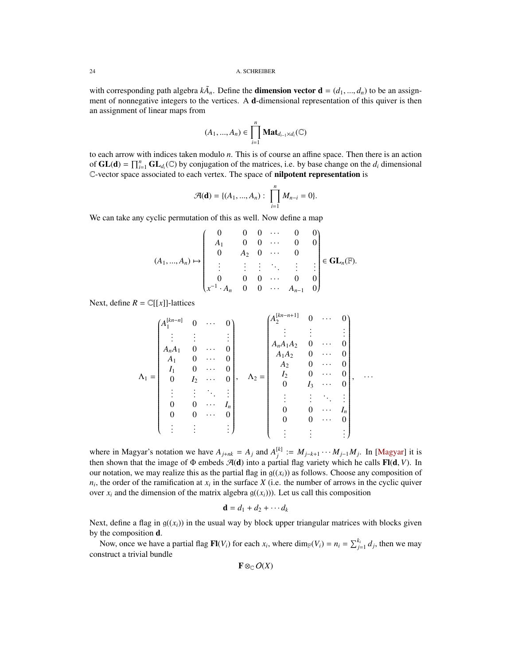with corresponding path algebra  $k\tilde{A}_n$ . Define the **dimension vector d** =  $(d_1, ..., d_n)$  to be an assign-<br>ment of ponnegative integers to the vertices. A d-dimensional representation of this quiver is then ment of nonnegative integers to the vertices. A d-dimensional representation of this quiver is then an assignment of linear maps from

$$
(A_1, ..., A_n) \in \prod_{i=1}^n \mathbf{Mat}_{d_{i-1} \times d_i}(\mathbb{C})
$$

to each arrow with indices taken modulo *n*. This is of course an affine space. Then there is an action of  $GL(d) = \prod_{i=1}^{n} GL_{d_i}(\mathbb{C})$  by conjugation of the matrices, i.e. by base change on the  $d_i$  dimensional C-vector space associated to each vertex. The space of nilpotent representation is

$$
\mathcal{A}(\mathbf{d}) = \{ (A_1, ..., A_n) : \prod_{i=1}^n M_{n-i} = 0 \}.
$$

We can take any cyclic permutation of this as well. Now define a map

$$
(A_1,...,A_n) \mapsto \begin{pmatrix} 0 & 0 & 0 & \cdots & 0 & 0 \\ A_1 & 0 & 0 & \cdots & 0 & 0 \\ 0 & A_2 & 0 & \cdots & 0 & 0 \\ \vdots & \vdots & \vdots & \ddots & \vdots & \vdots \\ 0 & 0 & 0 & \cdots & 0 & 0 \\ x^{-1} \cdot A_n & 0 & 0 & \cdots & A_{n-1} & 0 \end{pmatrix} \in \mathbf{GL}_n(\mathbb{F}).
$$

Next, define  $R = \mathbb{C}[[x]]$ -lattices

$$
\Lambda_1 = \begin{pmatrix}\nA_1^{[kn-n]} & 0 & \cdots & 0 \\
\vdots & \vdots & & \vdots \\
A_n A_1 & 0 & \cdots & 0 \\
A_1 & 0 & \cdots & 0 \\
0 & I_2 & \cdots & 0 \\
\vdots & \vdots & \ddots & \vdots \\
0 & 0 & \cdots & I_n \\
0 & 0 & \cdots & 0 \\
\vdots & \vdots & \vdots & \vdots\n\end{pmatrix}, \quad\n\Lambda_2 = \begin{pmatrix}\nA_2^{[kn-n+1]} & 0 & \cdots & 0 \\
\vdots & \vdots & & \vdots \\
A_n A_1 A_2 & 0 & \cdots & 0 \\
A_2 & 0 & \cdots & 0 \\
I_2 & 0 & \cdots & 0 \\
0 & I_3 & \cdots & 0 \\
\vdots & \vdots & \ddots & \vdots \\
0 & 0 & \cdots & I_n \\
0 & 0 & \cdots & 0 \\
\vdots & \vdots & \vdots & \vdots\n\end{pmatrix}, \quad \ldots
$$

where in Magyar's notation we have  $A_{j+nk} = A_j$  and  $A_j^{[k]} := M_{j-k+1} \cdots M_{j-1} M_j$ . In [\[Magyar\]](#page-25-3) it is then shown that the image of  $\Phi$  embeds  $\mathcal{A}(\mathbf{d})$  into a partial flag variety which he calls **Fl(d, V)**. In our notation, we may realize this as the partial flag in  $g((x_i))$  as follows. Choose any composition of  $n_i$ , the order of the ramification at  $x_i$  in the surface *X* (i.e. the number of arrows in the cyclic quiver over  $x_i$  and the dimension of the matrix algebra  $g((x_i))$ ). Let us call this composition

$$
\mathbf{d} = d_1 + d_2 + \cdots + d_k
$$

Next, define a flag in  $g((x_i))$  in the usual way by block upper triangular matrices with blocks given by the composition d.

Now, once we have a partial flag  $\mathbf{Fl}(V_i)$  for each  $x_i$ , where  $\dim_{\mathbb{F}}(V_i) = n_i = \sum_{j=1}^{k_i} d_j$ , then we may construct a trivial bundle

 $\mathbf{F} \otimes_{\mathbb{C}} O(X)$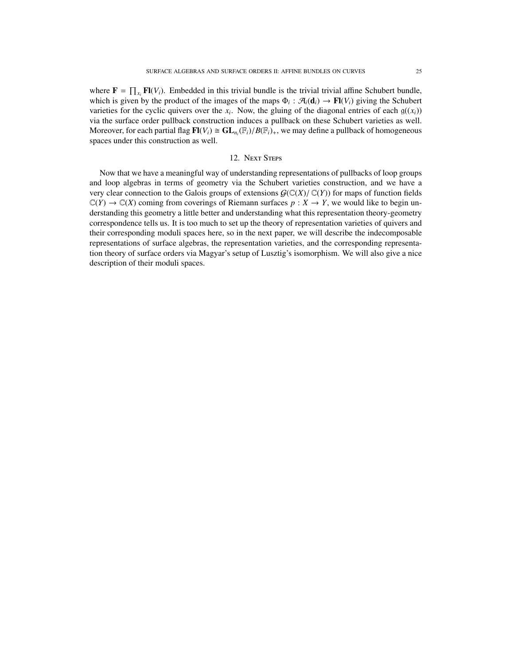where  $\mathbf{F} = \prod_{x_i} \mathbf{F}(V_i)$ . Embedded in this trivial bundle is the trivial trivial affine Schubert bundle, which is given by the product of the images of the maps  $\Phi_i : \mathcal{A}_i(\mathbf{d}_i) \to \mathbf{Fl}(V_i)$  giving the Schubert varieties for the cyclic quivers over the  $x_i$ . Now, the gluing of the diagonal entries of each  $g((x_i))$ via the surface order pullback construction induces a pullback on these Schubert varieties as well. Moreover, for each partial flag  $\mathbf{F}[(V_i) \cong \mathbf{GL}_{n_i}(\mathbb{F}_i)/B(\mathbb{F}_i)_+$ , we may define a pullback of homogeneous spaces under this construction as well spaces under this construction as well.

# 12. Next Steps

<span id="page-24-0"></span>Now that we have a meaningful way of understanding representations of pullbacks of loop groups and loop algebras in terms of geometry via the Schubert varieties construction, and we have a very clear connection to the Galois groups of extensions  $G(\mathbb{C}(X)/\mathbb{C}(Y))$  for maps of function fields  $\mathbb{C}(Y) \to \mathbb{C}(X)$  coming from coverings of Riemann surfaces  $p : X \to Y$ , we would like to begin understanding this geometry a little better and understanding what this representation theory-geometry correspondence tells us. It is too much to set up the theory of representation varieties of quivers and their corresponding moduli spaces here, so in the next paper, we will describe the indecomposable representations of surface algebras, the representation varieties, and the corresponding representation theory of surface orders via Magyar's setup of Lusztig's isomorphism. We will also give a nice description of their moduli spaces.